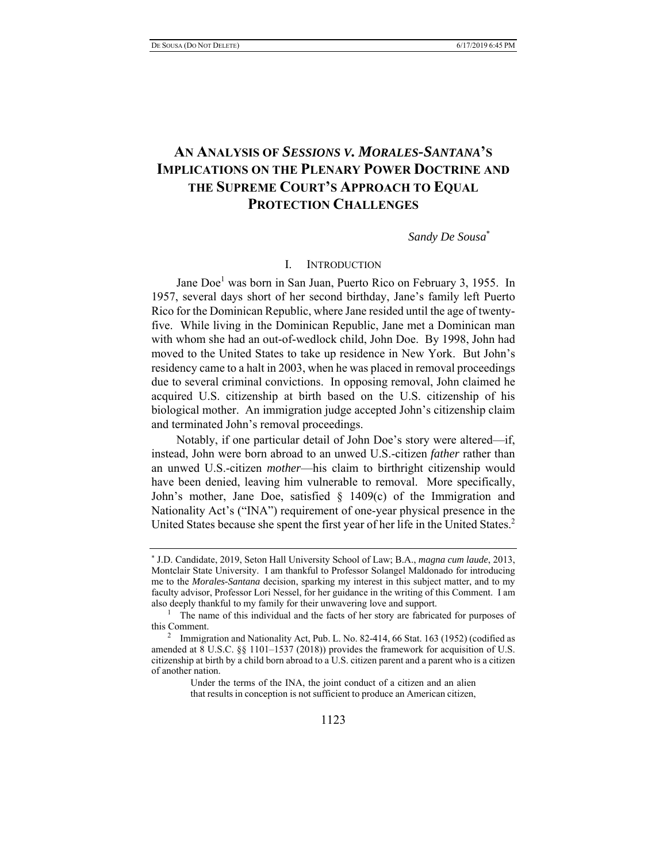# **AN ANALYSIS OF** *SESSIONS V. MORALES-SANTANA***'S IMPLICATIONS ON THE PLENARY POWER DOCTRINE AND THE SUPREME COURT'S APPROACH TO EQUAL PROTECTION CHALLENGES**

*Sandy De Sousa*\*

### I. INTRODUCTION

Jane Doe<sup>1</sup> was born in San Juan, Puerto Rico on February 3, 1955. In 1957, several days short of her second birthday, Jane's family left Puerto Rico for the Dominican Republic, where Jane resided until the age of twentyfive. While living in the Dominican Republic, Jane met a Dominican man with whom she had an out-of-wedlock child, John Doe. By 1998, John had moved to the United States to take up residence in New York. But John's residency came to a halt in 2003, when he was placed in removal proceedings due to several criminal convictions. In opposing removal, John claimed he acquired U.S. citizenship at birth based on the U.S. citizenship of his biological mother. An immigration judge accepted John's citizenship claim and terminated John's removal proceedings.

Notably, if one particular detail of John Doe's story were altered—if, instead, John were born abroad to an unwed U.S.-citizen *father* rather than an unwed U.S.-citizen *mother*—his claim to birthright citizenship would have been denied, leaving him vulnerable to removal. More specifically, John's mother, Jane Doe, satisfied § 1409(c) of the Immigration and Nationality Act's ("INA") requirement of one-year physical presence in the United States because she spent the first year of her life in the United States.<sup>2</sup>

Under the terms of the INA, the joint conduct of a citizen and an alien that results in conception is not sufficient to produce an American citizen,

<sup>\*</sup> J.D. Candidate, 2019, Seton Hall University School of Law; B.A., *magna cum laude*, 2013, Montclair State University. I am thankful to Professor Solangel Maldonado for introducing me to the *Morales-Santana* decision, sparking my interest in this subject matter, and to my faculty advisor, Professor Lori Nessel, for her guidance in the writing of this Comment. I am also deeply thankful to my family for their unwavering love and support.

<sup>&</sup>lt;sup>1</sup> The name of this individual and the facts of her story are fabricated for purposes of this Comment.

<sup>&</sup>lt;sup>2</sup> Immigration and Nationality Act, Pub. L. No. 82-414, 66 Stat. 163 (1952) (codified as amended at 8 U.S.C. §§ 1101–1537 (2018)) provides the framework for acquisition of U.S. citizenship at birth by a child born abroad to a U.S. citizen parent and a parent who is a citizen of another nation.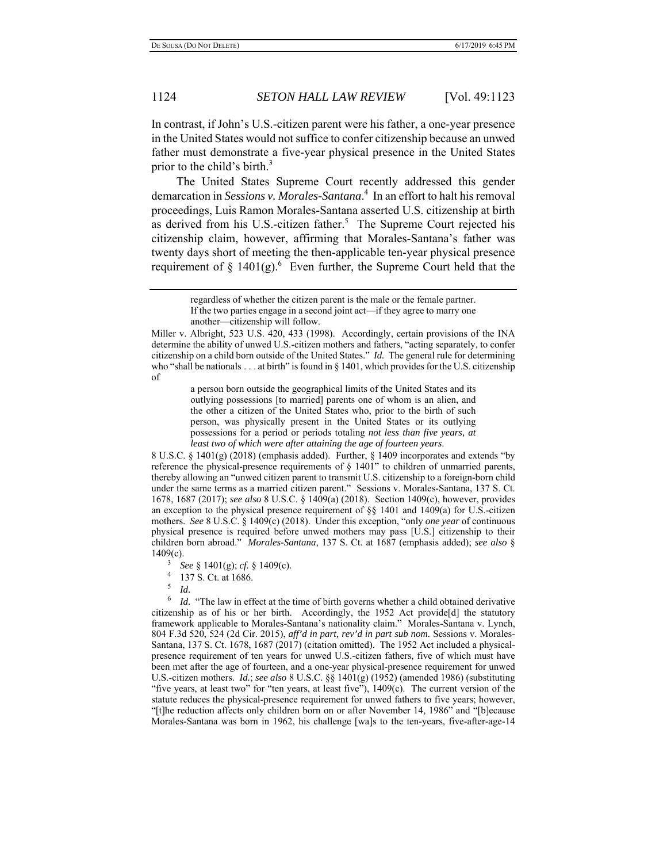In contrast, if John's U.S.-citizen parent were his father, a one-year presence in the United States would not suffice to confer citizenship because an unwed father must demonstrate a five-year physical presence in the United States prior to the child's birth. $3$ 

The United States Supreme Court recently addressed this gender demarcation in *Sessions v. Morales-Santana*. 4 In an effort to halt his removal proceedings, Luis Ramon Morales-Santana asserted U.S. citizenship at birth as derived from his U.S.-citizen father.<sup>5</sup> The Supreme Court rejected his citizenship claim, however, affirming that Morales-Santana's father was twenty days short of meeting the then-applicable ten-year physical presence requirement of  $\S$  1401(g).<sup>6</sup> Even further, the Supreme Court held that the

Miller v. Albright, 523 U.S. 420, 433 (1998). Accordingly, certain provisions of the INA determine the ability of unwed U.S.-citizen mothers and fathers, "acting separately, to confer citizenship on a child born outside of the United States." *Id.*The general rule for determining who "shall be nationals . . . at birth" is found in § 1401, which provides for the U.S. citizenship of

> a person born outside the geographical limits of the United States and its outlying possessions [to married] parents one of whom is an alien, and the other a citizen of the United States who, prior to the birth of such person, was physically present in the United States or its outlying possessions for a period or periods totaling *not less than five years, at least two of which were after attaining the age of fourteen years*.

8 U.S.C. § 1401(g) (2018) (emphasis added). Further, § 1409 incorporates and extends "by reference the physical-presence requirements of § 1401" to children of unmarried parents, thereby allowing an "unwed citizen parent to transmit U.S. citizenship to a foreign-born child under the same terms as a married citizen parent." Sessions v. Morales-Santana, 137 S. Ct. 1678, 1687 (2017); *see also* 8 U.S.C. § 1409(a) (2018). Section 1409(c), however, provides an exception to the physical presence requirement of §§ 1401 and 1409(a) for U.S.-citizen mothers. *See* 8 U.S.C. § 1409(c) (2018). Under this exception, "only *one year* of continuous physical presence is required before unwed mothers may pass [U.S.] citizenship to their children born abroad." *Morales-Santana*, 137 S. Ct. at 1687 (emphasis added); *see also* § 1409(c).

- 3 *See*  $\S$  1401(g); *cf.*  $\S$  1409(c).<br><sup>4</sup> 137 S Ct at 1686
- 137 S. Ct. at 1686.
- 5 *Id.*

6 *Id.* "The law in effect at the time of birth governs whether a child obtained derivative citizenship as of his or her birth. Accordingly, the 1952 Act provide $[d]$  the statutory framework applicable to Morales-Santana's nationality claim." Morales-Santana v. Lynch, 804 F.3d 520, 524 (2d Cir. 2015), *aff'd in part, rev'd in part sub nom.* Sessions v. Morales-Santana, 137 S. Ct. 1678, 1687 (2017) (citation omitted). The 1952 Act included a physicalpresence requirement of ten years for unwed U.S.-citizen fathers, five of which must have been met after the age of fourteen, and a one-year physical-presence requirement for unwed U.S.-citizen mothers. *Id.*; *see also* 8 U.S.C. §§ 1401(g) (1952) (amended 1986) (substituting "five years, at least two" for "ten years, at least five"), 1409(c).The current version of the statute reduces the physical-presence requirement for unwed fathers to five years; however, "[t]he reduction affects only children born on or after November 14, 1986" and "[b]ecause Morales-Santana was born in 1962, his challenge [wa]s to the ten-years, five-after-age-14

regardless of whether the citizen parent is the male or the female partner. If the two parties engage in a second joint act—if they agree to marry one another—citizenship will follow.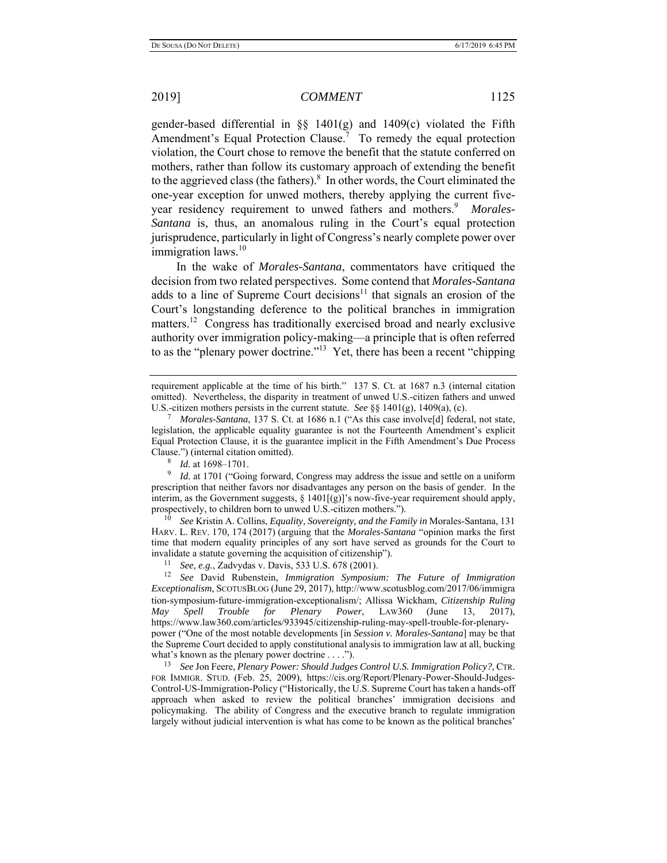gender-based differential in §§ 1401(g) and 1409(c) violated the Fifth Amendment's Equal Protection Clause.<sup>7</sup> To remedy the equal protection violation, the Court chose to remove the benefit that the statute conferred on mothers, rather than follow its customary approach of extending the benefit to the aggrieved class (the fathers). $8\,$  In other words, the Court eliminated the one-year exception for unwed mothers, thereby applying the current fiveyear residency requirement to unwed fathers and mothers.<sup>9</sup> Morales-*Santana* is, thus, an anomalous ruling in the Court's equal protection jurisprudence, particularly in light of Congress's nearly complete power over immigration laws. $10$ 

In the wake of *Morales-Santana*, commentators have critiqued the decision from two related perspectives. Some contend that *Morales-Santana*  adds to a line of Supreme Court decisions<sup>11</sup> that signals an erosion of the Court's longstanding deference to the political branches in immigration matters.<sup>12</sup> Congress has traditionally exercised broad and nearly exclusive authority over immigration policy-making—a principle that is often referred to as the "plenary power doctrine."<sup>13</sup> Yet, there has been a recent "chipping"

8 *Id.* at 1698–1701.

<sup>9</sup> *Id.* at 1701 ("Going forward, Congress may address the issue and settle on a uniform prescription that neither favors nor disadvantages any person on the basis of gender. In the interim, as the Government suggests,  $\S 1401[(g)]$ 's now-five-year requirement should apply, prospectively, to children born to unwed U.S.-citizen mothers.").

10 *See* Kristin A. Collins, *Equality, Sovereignty, and the Family in* Morales-Santana, 131 HARV. L. REV. 170, 174 (2017) (arguing that the *Morales-Santana* "opinion marks the first time that modern equality principles of any sort have served as grounds for the Court to invalidate a statute governing the acquisition of citizenship").

<sup>11</sup> *See, e.g., Zadvydas v. Davis, 533 U.S. 678 (2001).* <sup>12</sup> *See David Rubenstein, <i>Immigration Symposium: The Future of Immigration Exceptionalism*, SCOTUSBLOG (June 29, 2017), http://www.scotusblog.com/2017/06/immigra tion-symposium-future-immigration-exceptionalism/; Allissa Wickham, *Citizenship Ruling May Spell Trouble for Plenary Power*, LAW360 (June 13, 2017), https://www.law360.com/articles/933945/citizenship-ruling-may-spell-trouble-for-plenarypower ("One of the most notable developments [in *Session v. Morales-Santana*] may be that the Supreme Court decided to apply constitutional analysis to immigration law at all, bucking what's known as the plenary power doctrine . . . .").

13 *See* Jon Feere, *Plenary Power: Should Judges Control U.S. Immigration Policy?*, CTR. FOR IMMIGR. STUD. (Feb. 25, 2009), https://cis.org/Report/Plenary-Power-Should-Judges-Control-US-Immigration-Policy ("Historically, the U.S. Supreme Court has taken a hands-off approach when asked to review the political branches' immigration decisions and policymaking. The ability of Congress and the executive branch to regulate immigration largely without judicial intervention is what has come to be known as the political branches'

requirement applicable at the time of his birth." 137 S. Ct. at 1687 n.3 (internal citation omitted). Nevertheless, the disparity in treatment of unwed U.S.-citizen fathers and unwed U.S.-citizen mothers persists in the current statute. *See* §§ 1401(g), 1409(a), (c). 7

<sup>&</sup>lt;sup>7</sup> Morales-Santana, 137 S. Ct. at 1686 n.1 ("As this case involve<sup>[d]</sup> federal, not state, legislation, the applicable equality guarantee is not the Fourteenth Amendment's explicit Equal Protection Clause, it is the guarantee implicit in the Fifth Amendment's Due Process Clause.") (internal citation omitted).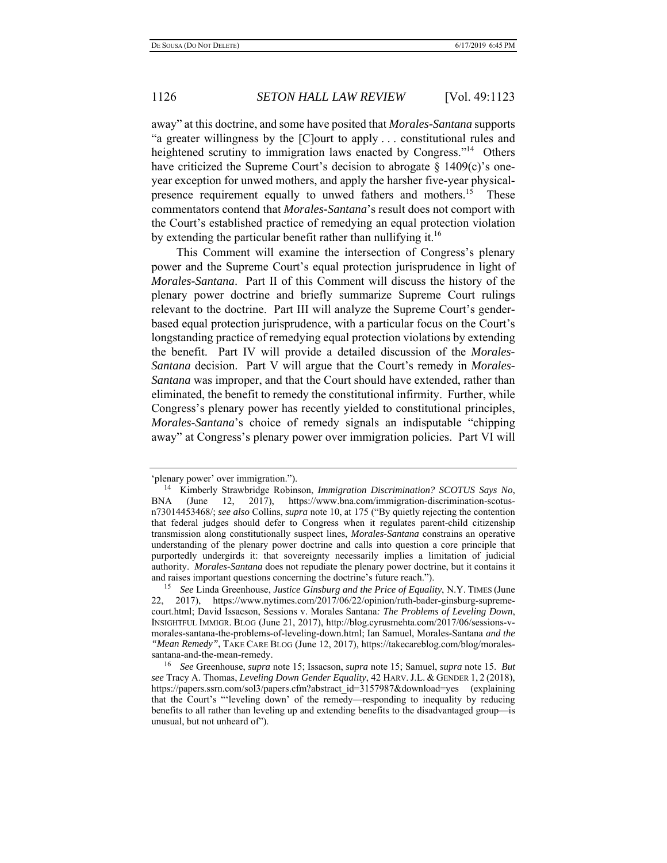away" at this doctrine, and some have posited that *Morales-Santana* supports "a greater willingness by the [C]ourt to apply . . . constitutional rules and heightened scrutiny to immigration laws enacted by Congress."<sup>14</sup> Others have criticized the Supreme Court's decision to abrogate  $\S$  1409(c)'s oneyear exception for unwed mothers, and apply the harsher five-year physicalpresence requirement equally to unwed fathers and mothers.<sup>15</sup> These commentators contend that *Morales-Santana*'s result does not comport with the Court's established practice of remedying an equal protection violation by extending the particular benefit rather than nullifying it.<sup>16</sup>

This Comment will examine the intersection of Congress's plenary power and the Supreme Court's equal protection jurisprudence in light of *Morales-Santana*. Part II of this Comment will discuss the history of the plenary power doctrine and briefly summarize Supreme Court rulings relevant to the doctrine. Part III will analyze the Supreme Court's genderbased equal protection jurisprudence, with a particular focus on the Court's longstanding practice of remedying equal protection violations by extending the benefit. Part IV will provide a detailed discussion of the *Morales-Santana* decision. Part V will argue that the Court's remedy in *Morales-Santana* was improper, and that the Court should have extended, rather than eliminated, the benefit to remedy the constitutional infirmity. Further, while Congress's plenary power has recently yielded to constitutional principles, *Morales*-*Santana*'s choice of remedy signals an indisputable "chipping away" at Congress's plenary power over immigration policies. Part VI will

<sup>&#</sup>x27;plenary power' over immigration."). 14 Kimberly Strawbridge Robinson, *Immigration Discrimination? SCOTUS Says No*, BNA (June 12, 2017), https://www.bna.com/immigration-discrimination-scotusn73014453468/; *see also* Collins, *supra* note 10, at 175 ("By quietly rejecting the contention that federal judges should defer to Congress when it regulates parent-child citizenship transmission along constitutionally suspect lines, *Morales-Santana* constrains an operative understanding of the plenary power doctrine and calls into question a core principle that purportedly undergirds it: that sovereignty necessarily implies a limitation of judicial authority. *Morales-Santana* does not repudiate the plenary power doctrine, but it contains it and raises important questions concerning the doctrine's future reach.").

<sup>15</sup> *See* Linda Greenhouse, *Justice Ginsburg and the Price of Equality*, N.Y. TIMES (June 22, 2017), https://www.nytimes.com/2017/06/22/opinion/ruth-bader-ginsburg-supremecourt.html; David Issacson, Sessions v. Morales Santana*: The Problems of Leveling Down*, INSIGHTFUL IMMIGR. BLOG (June 21, 2017), http://blog.cyrusmehta.com/2017/06/sessions-vmorales-santana-the-problems-of-leveling-down.html; Ian Samuel, Morales-Santana *and the "Mean Remedy"*, TAKE CARE BLOG (June 12, 2017), https://takecareblog.com/blog/moralessantana-and-the-mean-remedy.

<sup>16</sup> *See* Greenhouse, *supra* note 15; Issacson, *supra* note 15; Samuel, *supra* note 15. *But see* Tracy A. Thomas, *Leveling Down Gender Equality*, 42 HARV.J.L. & GENDER 1, 2 (2018), https://papers.ssrn.com/sol3/papers.cfm?abstract\_id=3157987&download=yes (explaining that the Court's "'leveling down' of the remedy—responding to inequality by reducing benefits to all rather than leveling up and extending benefits to the disadvantaged group—is unusual, but not unheard of").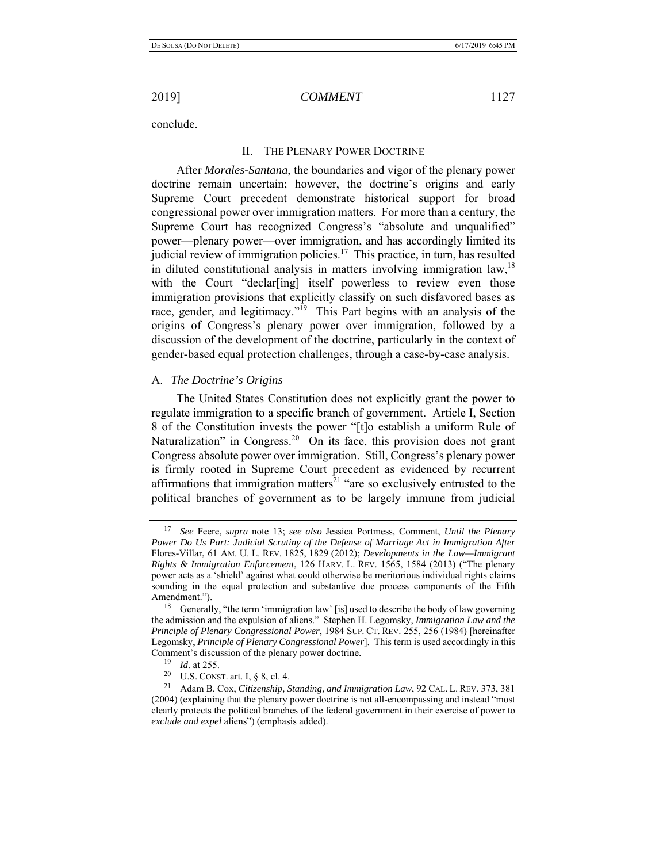conclude.

### II. THE PLENARY POWER DOCTRINE

After *Morales-Santana*, the boundaries and vigor of the plenary power doctrine remain uncertain; however, the doctrine's origins and early Supreme Court precedent demonstrate historical support for broad congressional power over immigration matters. For more than a century, the Supreme Court has recognized Congress's "absolute and unqualified" power—plenary power—over immigration, and has accordingly limited its judicial review of immigration policies.<sup>17</sup> This practice, in turn, has resulted in diluted constitutional analysis in matters involving immigration law,  $18$ with the Court "declar[ing] itself powerless to review even those immigration provisions that explicitly classify on such disfavored bases as race, gender, and legitimacy."<sup>19</sup> This Part begins with an analysis of the origins of Congress's plenary power over immigration, followed by a discussion of the development of the doctrine, particularly in the context of gender-based equal protection challenges, through a case-by-case analysis.

### A. *The Doctrine's Origins*

The United States Constitution does not explicitly grant the power to regulate immigration to a specific branch of government. Article I, Section 8 of the Constitution invests the power "[t]o establish a uniform Rule of Naturalization" in Congress.<sup>20</sup> On its face, this provision does not grant Congress absolute power over immigration. Still, Congress's plenary power is firmly rooted in Supreme Court precedent as evidenced by recurrent affirmations that immigration matters<sup>21</sup> "are so exclusively entrusted to the political branches of government as to be largely immune from judicial

<sup>17</sup> *See* Feere, *supra* note 13; *see also* Jessica Portmess, Comment, *Until the Plenary Power Do Us Part: Judicial Scrutiny of the Defense of Marriage Act in Immigration After*  Flores-Villar, 61 AM. U. L. REV. 1825, 1829 (2012); *Developments in the Law—Immigrant Rights & Immigration Enforcement*, 126 HARV. L. REV. 1565, 1584 (2013) ("The plenary power acts as a 'shield' against what could otherwise be meritorious individual rights claims sounding in the equal protection and substantive due process components of the Fifth Amendment.").

<sup>&</sup>lt;sup>18</sup> Generally, "the term 'immigration law' [is] used to describe the body of law governing the admission and the expulsion of aliens." Stephen H. Legomsky, *Immigration Law and the Principle of Plenary Congressional Power*, 1984 SUP. CT. REV. 255, 256 (1984) [hereinafter Legomsky, *Principle of Plenary Congressional Power*]. This term is used accordingly in this Comment's discussion of the plenary power doctrine.<br> $\frac{19}{14}$  of 255

 $\frac{19}{20}$  *Id.* at 255.

<sup>20</sup> U.S. CONST. art. I, § 8, cl. 4. 21 Adam B. Cox, *Citizenship, Standing, and Immigration Law*, 92 CAL. L. REV. 373, 381 (2004) (explaining that the plenary power doctrine is not all-encompassing and instead "most clearly protects the political branches of the federal government in their exercise of power to *exclude and expel* aliens") (emphasis added).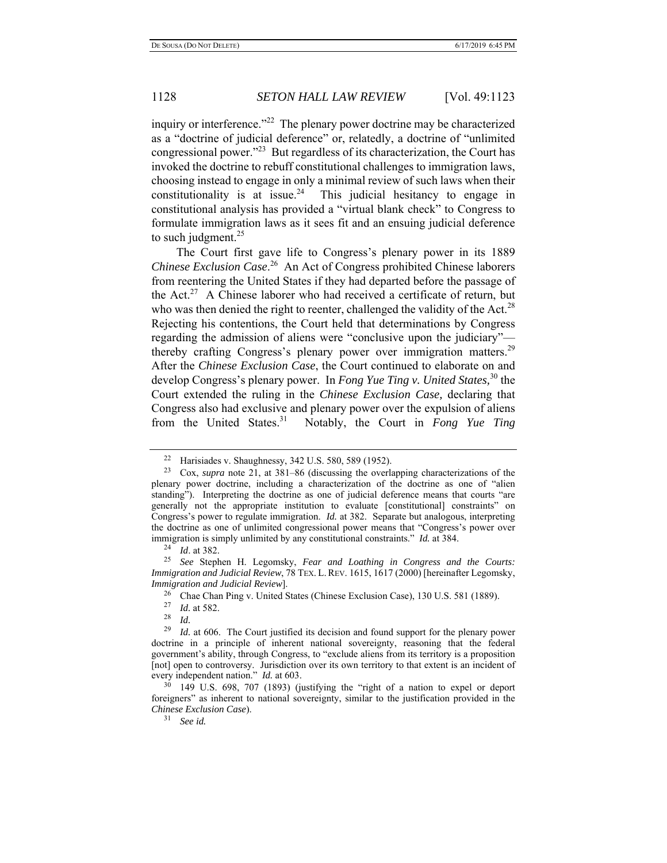inquiry or interference."<sup>22</sup> The plenary power doctrine may be characterized as a "doctrine of judicial deference" or, relatedly, a doctrine of "unlimited congressional power."23 But regardless of its characterization, the Court has invoked the doctrine to rebuff constitutional challenges to immigration laws, choosing instead to engage in only a minimal review of such laws when their constitutionality is at issue.<sup>24</sup> This judicial hesitancy to engage in constitutional analysis has provided a "virtual blank check" to Congress to formulate immigration laws as it sees fit and an ensuing judicial deference to such judgment. $25$ 

The Court first gave life to Congress's plenary power in its 1889 *Chinese Exclusion Case*. 26 An Act of Congress prohibited Chinese laborers from reentering the United States if they had departed before the passage of the Act.<sup>27</sup> A Chinese laborer who had received a certificate of return, but who was then denied the right to reenter, challenged the validity of the Act.<sup>28</sup> Rejecting his contentions, the Court held that determinations by Congress regarding the admission of aliens were "conclusive upon the judiciary" thereby crafting Congress's plenary power over immigration matters.<sup>29</sup> After the *Chinese Exclusion Case*, the Court continued to elaborate on and develop Congress's plenary power. In *Fong Yue Ting v. United States,*<sup>30</sup> the Court extended the ruling in the *Chinese Exclusion Case,* declaring that Congress also had exclusive and plenary power over the expulsion of aliens from the United States.31 Notably, the Court in *Fong Yue Ting*

31 *See id.*

<sup>22</sup> Harisiades v. Shaughnessy, 342 U.S. 580, 589 (1952).

<sup>23</sup> Cox, *supra* note 21, at 381–86 (discussing the overlapping characterizations of the plenary power doctrine, including a characterization of the doctrine as one of "alien standing"). Interpreting the doctrine as one of judicial deference means that courts "are generally not the appropriate institution to evaluate [constitutional] constraints" on Congress's power to regulate immigration. *Id.* at 382.Separate but analogous, interpreting the doctrine as one of unlimited congressional power means that "Congress's power over immigration is simply unlimited by any constitutional constraints." *Id.* at 384.<br><sup>24</sup> *Id.* at 382.<br><sup>25</sup> See Stephen H. Lesomsky, *Fear, and Loathing in Congress, and* 

<sup>25</sup> *See* Stephen H. Legomsky, *Fear and Loathing in Congress and the Courts: Immigration and Judicial Review*, 78 TEX. L. REV. 1615, 1617 (2000) [hereinafter Legomsky, *Immigration and Judicial Review*].

<sup>&</sup>lt;sup>26</sup> Chae Chan Ping v. United States (Chinese Exclusion Case), 130 U.S. 581 (1889).

 $\frac{27}{28}$  *Id.* at 582.

*Id.* 

<sup>29</sup> *Id.* at 606. The Court justified its decision and found support for the plenary power doctrine in a principle of inherent national sovereignty, reasoning that the federal government's ability, through Congress, to "exclude aliens from its territory is a proposition [not] open to controversy. Jurisdiction over its own territory to that extent is an incident of every independent nation." *Id.* at 603.

 $30$  149 U.S. 698, 707 (1893) (justifying the "right of a nation to expel or deport foreigners" as inherent to national sovereignty, similar to the justification provided in the *Chinese Exclusion Case*).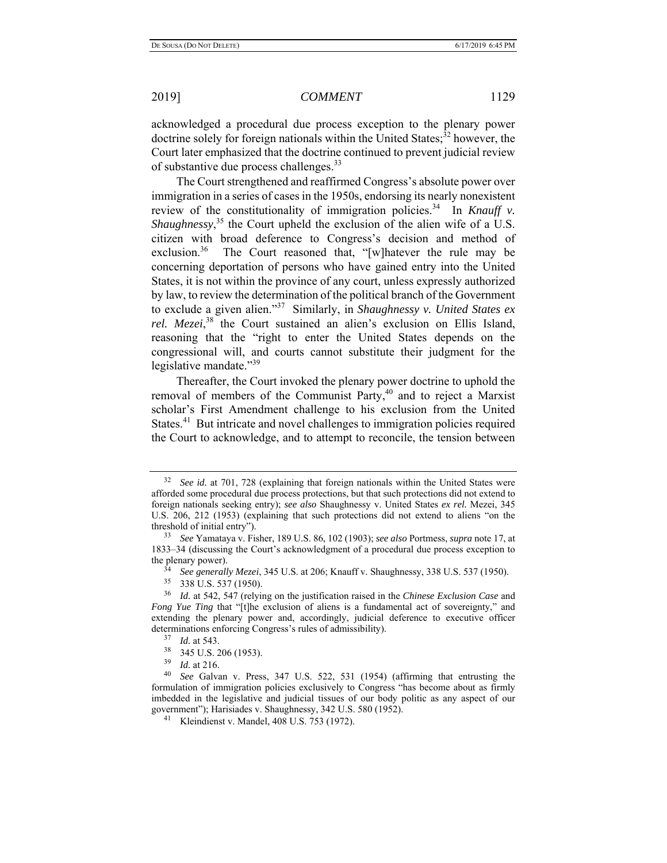acknowledged a procedural due process exception to the plenary power doctrine solely for foreign nationals within the United States;<sup>32</sup> however, the Court later emphasized that the doctrine continued to prevent judicial review of substantive due process challenges.<sup>33</sup>

The Court strengthened and reaffirmed Congress's absolute power over immigration in a series of cases in the 1950s, endorsing its nearly nonexistent review of the constitutionality of immigration policies.<sup>34</sup> In *Knauff v*. Shaughnessy,<sup>35</sup> the Court upheld the exclusion of the alien wife of a U.S. citizen with broad deference to Congress's decision and method of exclusion.<sup>36</sup> The Court reasoned that, "[w]hatever the rule may be concerning deportation of persons who have gained entry into the United States, it is not within the province of any court, unless expressly authorized by law, to review the determination of the political branch of the Government to exclude a given alien."37 Similarly, in *Shaughnessy v. United States ex*  rel. Mezei,<sup>38</sup> the Court sustained an alien's exclusion on Ellis Island, reasoning that the "right to enter the United States depends on the congressional will, and courts cannot substitute their judgment for the legislative mandate."<sup>39</sup>

Thereafter, the Court invoked the plenary power doctrine to uphold the removal of members of the Communist Party, $40$  and to reject a Marxist scholar's First Amendment challenge to his exclusion from the United States.<sup>41</sup> But intricate and novel challenges to immigration policies required the Court to acknowledge, and to attempt to reconcile, the tension between

See id. at 701, 728 (explaining that foreign nationals within the United States were afforded some procedural due process protections, but that such protections did not extend to foreign nationals seeking entry); *see also* Shaughnessy v. United States *ex rel.* Mezei, 345 U.S. 206, 212 (1953) (explaining that such protections did not extend to aliens "on the threshold of initial entry").

<sup>33</sup> *See* Yamataya v. Fisher, 189 U.S. 86, 102 (1903); *see also* Portmess, *supra* note 17, at 1833–34 (discussing the Court's acknowledgment of a procedural due process exception to the plenary power).

<sup>34</sup> *See generally Mezei*, 345 U.S. at 206; Knauff v. Shaughnessy, 338 U.S. 537 (1950).

<sup>35 338</sup> U.S. 537 (1950).

<sup>36</sup> *Id.* at 542, 547 (relying on the justification raised in the *Chinese Exclusion Case* and *Fong Yue Ting* that "[t]he exclusion of aliens is a fundamental act of sovereignty," and extending the plenary power and, accordingly, judicial deference to executive officer determinations enforcing Congress's rules of admissibility).

 $\frac{37}{38}$  *Id.* at 543.

 $\frac{38}{39}$  345 U.S. 206 (1953).

*Id.* at 216.

<sup>40</sup> *See* Galvan v. Press, 347 U.S. 522, 531 (1954) (affirming that entrusting the formulation of immigration policies exclusively to Congress "has become about as firmly imbedded in the legislative and judicial tissues of our body politic as any aspect of our government"); Harisiades v. Shaughnessy, 342 U.S. 580 (1952).<br><sup>41</sup> Kleindienst v. Mandel, 408 U.S. 753 (1972).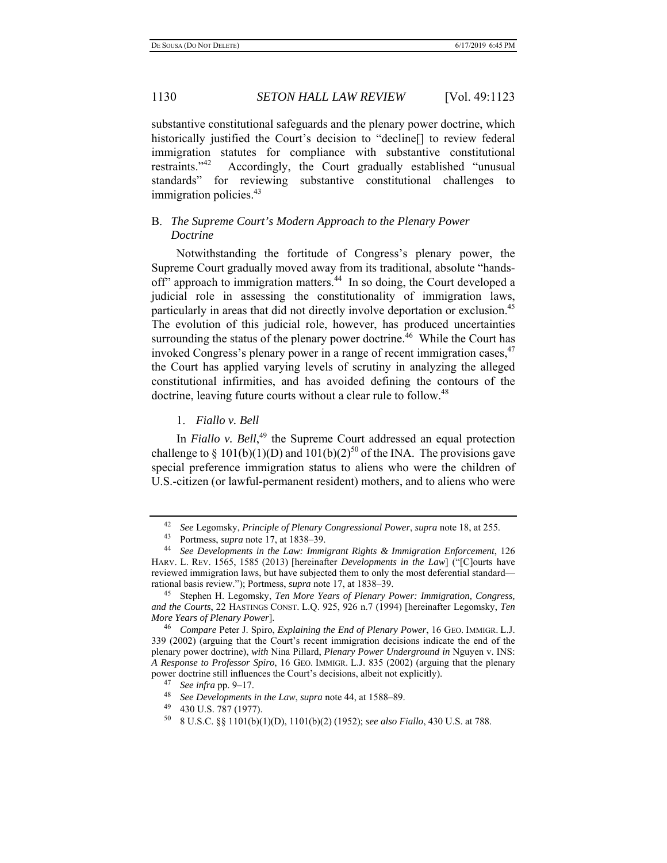substantive constitutional safeguards and the plenary power doctrine, which historically justified the Court's decision to "decline<sup>[]</sup> to review federal immigration statutes for compliance with substantive constitutional restraints."<sup>42</sup> Accordingly, the Court gradually established "unusual standards" for reviewing substantive constitutional challenges to immigration policies.<sup>43</sup>

# B. *The Supreme Court's Modern Approach to the Plenary Power Doctrine*

Notwithstanding the fortitude of Congress's plenary power, the Supreme Court gradually moved away from its traditional, absolute "handsoff" approach to immigration matters.<sup>44</sup> In so doing, the Court developed a judicial role in assessing the constitutionality of immigration laws, particularly in areas that did not directly involve deportation or exclusion.<sup>45</sup> The evolution of this judicial role, however, has produced uncertainties surrounding the status of the plenary power doctrine.<sup>46</sup> While the Court has invoked Congress's plenary power in a range of recent immigration cases,  $47$ the Court has applied varying levels of scrutiny in analyzing the alleged constitutional infirmities, and has avoided defining the contours of the doctrine, leaving future courts without a clear rule to follow.<sup>48</sup>

### 1. *Fiallo v. Bell*

In *Fiallo v. Bell*,<sup>49</sup> the Supreme Court addressed an equal protection challenge to  $\S 101(b)(1)(D)$  and  $101(b)(2)^{50}$  of the INA. The provisions gave special preference immigration status to aliens who were the children of U.S.-citizen (or lawful-permanent resident) mothers, and to aliens who were

<sup>42</sup> *See* Legomsky, *Principle of Plenary Congressional Power*, *supra* note 18, at 255.

<sup>43</sup> Portmess, *supra* note 17, at 1838–39. 44 *See Developments in the Law: Immigrant Rights & Immigration Enforcement*, 126 HARV. L. REV. 1565, 1585 (2013) [hereinafter *Developments in the Law*] ("[C]ourts have reviewed immigration laws, but have subjected them to only the most deferential standard rational basis review."); Portmess, *supra* note 17, at 1838–39.

<sup>45</sup> Stephen H. Legomsky, *Ten More Years of Plenary Power: Immigration, Congress, and the Courts*, 22 HASTINGS CONST. L.Q. 925, 926 n.7 (1994) [hereinafter Legomsky, *Ten More Years of Plenary Power*].

<sup>46</sup> *Compare* Peter J. Spiro, *Explaining the End of Plenary Power*, 16 GEO. IMMIGR. L.J. 339 (2002) (arguing that the Court's recent immigration decisions indicate the end of the plenary power doctrine), *with* Nina Pillard, *Plenary Power Underground in* Nguyen v. INS: *A Response to Professor Spiro*, 16 GEO. IMMIGR. L.J. 835 (2002) (arguing that the plenary power doctrine still influences the Court's decisions, albeit not explicitly).

<sup>47</sup> *See infra* pp. 9–17.

<sup>48</sup> *See Developments in the Law*, *supra* note 44, at 1588–89.

<sup>49 430</sup> U.S. 787 (1977).

<sup>50 8</sup> U.S.C. §§ 1101(b)(1)(D), 1101(b)(2) (1952); *see also Fiallo*, 430 U.S. at 788.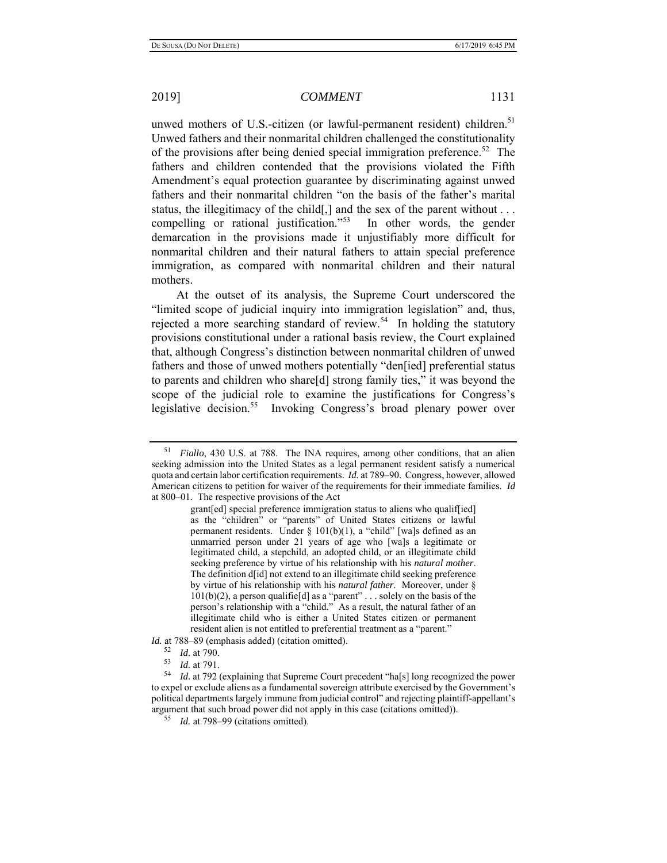unwed mothers of U.S.-citizen (or lawful-permanent resident) children.<sup>51</sup> Unwed fathers and their nonmarital children challenged the constitutionality of the provisions after being denied special immigration preference.<sup>52</sup> The fathers and children contended that the provisions violated the Fifth Amendment's equal protection guarantee by discriminating against unwed fathers and their nonmarital children "on the basis of the father's marital status, the illegitimacy of the child[,] and the sex of the parent without . . . compelling or rational justification."<sup>53</sup> In other words, the gender demarcation in the provisions made it unjustifiably more difficult for nonmarital children and their natural fathers to attain special preference immigration, as compared with nonmarital children and their natural mothers.

At the outset of its analysis, the Supreme Court underscored the "limited scope of judicial inquiry into immigration legislation" and, thus, rejected a more searching standard of review.<sup>54</sup> In holding the statutory provisions constitutional under a rational basis review, the Court explained that, although Congress's distinction between nonmarital children of unwed fathers and those of unwed mothers potentially "den[ied] preferential status to parents and children who share[d] strong family ties," it was beyond the scope of the judicial role to examine the justifications for Congress's legislative decision.<sup>55</sup> Invoking Congress's broad plenary power over

*Id.* at 788–89 (emphasis added) (citation omitted).

<sup>51</sup> *Fiallo*, 430 U.S. at 788. The INA requires, among other conditions, that an alien seeking admission into the United States as a legal permanent resident satisfy a numerical quota and certain labor certification requirements. *Id.* at 789–90. Congress, however, allowed American citizens to petition for waiver of the requirements for their immediate families. *Id*  at 800–01*.* The respective provisions of the Act

grant[ed] special preference immigration status to aliens who qualif[ied] as the "children" or "parents" of United States citizens or lawful permanent residents. Under § 101(b)(1), a "child" [wa]s defined as an unmarried person under 21 years of age who [wa]s a legitimate or legitimated child, a stepchild, an adopted child, or an illegitimate child seeking preference by virtue of his relationship with his *natural mother*. The definition d[id] not extend to an illegitimate child seeking preference by virtue of his relationship with his *natural father*. Moreover, under §  $101(b)(2)$ , a person qualifie<sup>[d]</sup> as a "parent" . . . solely on the basis of the person's relationship with a "child." As a result, the natural father of an illegitimate child who is either a United States citizen or permanent resident alien is not entitled to preferential treatment as a "parent."

<sup>52</sup> *Id.* at 790.

 $\frac{53}{54}$  *Id.* at 791.

Id. at 792 (explaining that Supreme Court precedent "ha[s] long recognized the power to expel or exclude aliens as a fundamental sovereign attribute exercised by the Government's political departments largely immune from judicial control" and rejecting plaintiff-appellant's argument that such broad power did not apply in this case (citations omitted)). 55 *Id.* at 798–99 (citations omitted).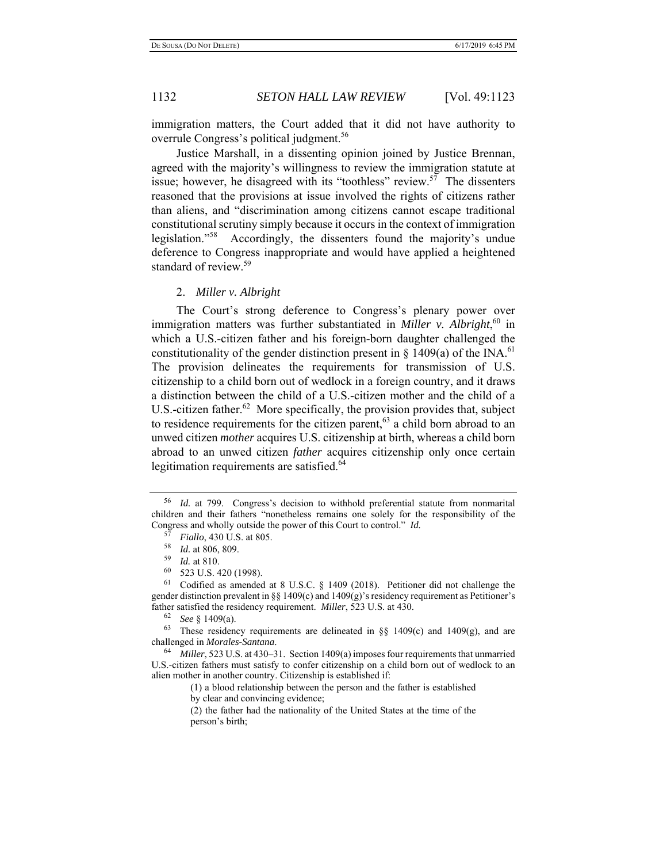immigration matters, the Court added that it did not have authority to overrule Congress's political judgment.<sup>56</sup>

Justice Marshall, in a dissenting opinion joined by Justice Brennan, agreed with the majority's willingness to review the immigration statute at issue; however, he disagreed with its "toothless" review.<sup>57</sup> The dissenters reasoned that the provisions at issue involved the rights of citizens rather than aliens, and "discrimination among citizens cannot escape traditional constitutional scrutiny simply because it occurs in the context of immigration legislation."58 Accordingly, the dissenters found the majority's undue deference to Congress inappropriate and would have applied a heightened standard of review.<sup>59</sup>

### 2. *Miller v. Albright*

The Court's strong deference to Congress's plenary power over immigration matters was further substantiated in *Miller v. Albright*,<sup>60</sup> in which a U.S.-citizen father and his foreign-born daughter challenged the constitutionality of the gender distinction present in  $\S$  1409(a) of the INA.<sup>61</sup> The provision delineates the requirements for transmission of U.S. citizenship to a child born out of wedlock in a foreign country, and it draws a distinction between the child of a U.S.-citizen mother and the child of a U.S.-citizen father.<sup>62</sup> More specifically, the provision provides that, subject to residence requirements for the citizen parent,  $63$  a child born abroad to an unwed citizen *mother* acquires U.S. citizenship at birth, whereas a child born abroad to an unwed citizen *father* acquires citizenship only once certain legitimation requirements are satisfied.<sup>64</sup>

<sup>56</sup> *Id.* at 799.Congress's decision to withhold preferential statute from nonmarital children and their fathers "nonetheless remains one solely for the responsibility of the Congress and wholly outside the power of this Court to control." *Id.*

 $^{57}$  *Fiallo*, 430 U.S. at 805.<br><sup>58</sup> *L*d at 806, 809

 $\frac{58}{59}$  *Id.* at 806, 809.

 $\frac{59}{60}$  *Id.* at 810.

<sup>60 523</sup> U.S. 420 (1998).

 $61$  Codified as amended at 8 U.S.C. § 1409 (2018). Petitioner did not challenge the gender distinction prevalent in  $\S$  1409(c) and 1409(g)'s residency requirement as Petitioner's father satisfied the residency requirement. *Miller*, 523 U.S. at 430.

<sup>62</sup> *See* § 1409(a).

 $63$  These residency requirements are delineated in §§ 1409(c) and 1409(g), and are challenged in *Morales-Santana*. 64 *Miller*, 523 U.S. at 430–31. Section 1409(a) imposes four requirements that unmarried

U.S.-citizen fathers must satisfy to confer citizenship on a child born out of wedlock to an alien mother in another country. Citizenship is established if:

<sup>(1)</sup> a blood relationship between the person and the father is established

by clear and convincing evidence;

<sup>(2)</sup> the father had the nationality of the United States at the time of the person's birth;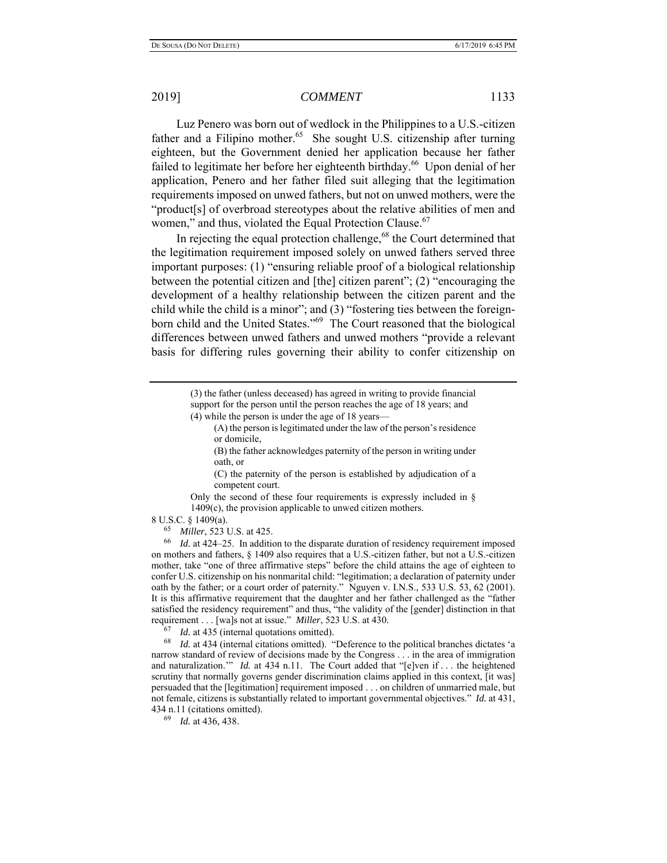Luz Penero was born out of wedlock in the Philippines to a U.S.-citizen father and a Filipino mother.<sup>65</sup> She sought U.S. citizenship after turning eighteen, but the Government denied her application because her father failed to legitimate her before her eighteenth birthday.<sup>66</sup> Upon denial of her application, Penero and her father filed suit alleging that the legitimation requirements imposed on unwed fathers, but not on unwed mothers, were the "product[s] of overbroad stereotypes about the relative abilities of men and women," and thus, violated the Equal Protection Clause.<sup>67</sup>

In rejecting the equal protection challenge, $68$  the Court determined that the legitimation requirement imposed solely on unwed fathers served three important purposes: (1) "ensuring reliable proof of a biological relationship between the potential citizen and [the] citizen parent"; (2) "encouraging the development of a healthy relationship between the citizen parent and the child while the child is a minor"; and (3) "fostering ties between the foreignborn child and the United States."<sup>69</sup> The Court reasoned that the biological differences between unwed fathers and unwed mothers "provide a relevant basis for differing rules governing their ability to confer citizenship on

> (3) the father (unless deceased) has agreed in writing to provide financial support for the person until the person reaches the age of 18 years; and (4) while the person is under the age of 18 years—

(A) the person is legitimated under the law of the person's residence or domicile,

(B) the father acknowledges paternity of the person in writing under oath, or

(C) the paternity of the person is established by adjudication of a competent court.

Only the second of these four requirements is expressly included in § 1409(c), the provision applicable to unwed citizen mothers.

8 U.S.C. § 1409(a).

65 *Miller*, 523 U.S. at 425.

66 *Id.* at 424–25. In addition to the disparate duration of residency requirement imposed on mothers and fathers, § 1409 also requires that a U.S.-citizen father, but not a U.S.-citizen mother, take "one of three affirmative steps" before the child attains the age of eighteen to confer U.S. citizenship on his nonmarital child: "legitimation; a declaration of paternity under oath by the father; or a court order of paternity." Nguyen v. I.N.S., 533 U.S. 53, 62 (2001). It is this affirmative requirement that the daughter and her father challenged as the "father satisfied the residency requirement" and thus, "the validity of the [gender] distinction in that requirement . . . [wa]s not at issue." *Miller*, 523 U.S. at 430.

<sup>67</sup> *Id.* at 435 (internal quotations omitted).

68 *Id.* at 434 (internal citations omitted). "Deference to the political branches dictates 'a narrow standard of review of decisions made by the Congress . . . in the area of immigration and naturalization." *Id.* at 434 n.11. The Court added that "[e]ven if ... the heightened scrutiny that normally governs gender discrimination claims applied in this context, [it was] persuaded that the [legitimation] requirement imposed . . . on children of unmarried male, but not female, citizens is substantially related to important governmental objectives." *Id.* at 431, 434 n.11 (citations omitted).

69 *Id.* at 436, 438.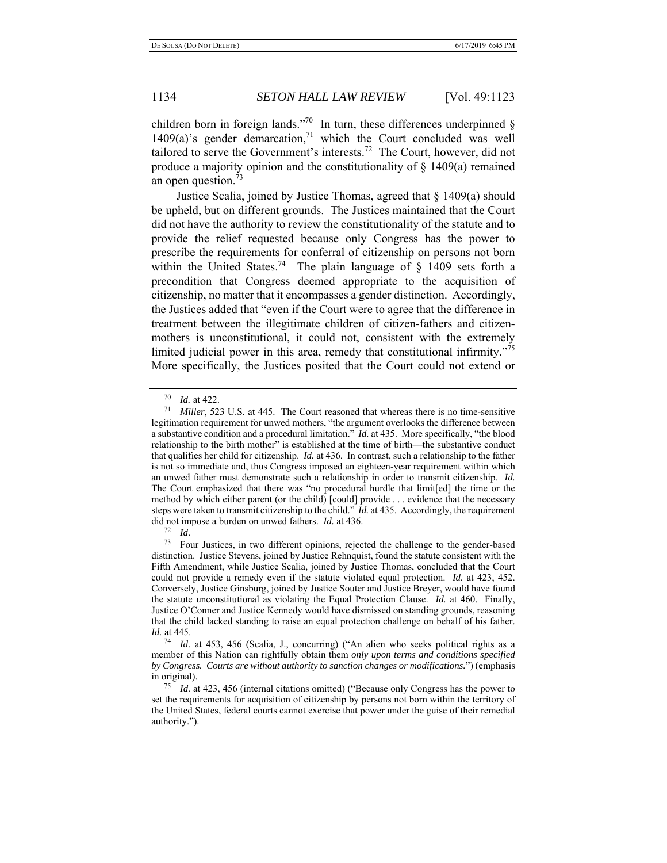children born in foreign lands."<sup>70</sup> In turn, these differences underpinned  $\S$ 1409(a)'s gender demarcation,<sup>71</sup> which the Court concluded was well tailored to serve the Government's interests.<sup>72</sup> The Court, however, did not produce a majority opinion and the constitutionality of § 1409(a) remained an open question.<sup>73</sup>

Justice Scalia, joined by Justice Thomas, agreed that § 1409(a) should be upheld, but on different grounds. The Justices maintained that the Court did not have the authority to review the constitutionality of the statute and to provide the relief requested because only Congress has the power to prescribe the requirements for conferral of citizenship on persons not born within the United States.<sup>74</sup> The plain language of  $\frac{1}{4}$  1409 sets forth a precondition that Congress deemed appropriate to the acquisition of citizenship, no matter that it encompasses a gender distinction. Accordingly, the Justices added that "even if the Court were to agree that the difference in treatment between the illegitimate children of citizen-fathers and citizenmothers is unconstitutional, it could not, consistent with the extremely limited judicial power in this area, remedy that constitutional infirmity."<sup>75</sup> More specifically, the Justices posited that the Court could not extend or

 $\frac{70}{71}$  *Id.* at 422.

*Miller*, 523 U.S. at 445. The Court reasoned that whereas there is no time-sensitive legitimation requirement for unwed mothers, "the argument overlooks the difference between a substantive condition and a procedural limitation." *Id.* at 435.More specifically, "the blood relationship to the birth mother" is established at the time of birth—the substantive conduct that qualifies her child for citizenship. *Id.* at 436. In contrast, such a relationship to the father is not so immediate and, thus Congress imposed an eighteen-year requirement within which an unwed father must demonstrate such a relationship in order to transmit citizenship. *Id.*  The Court emphasized that there was "no procedural hurdle that limit[ed] the time or the method by which either parent (or the child) [could] provide . . . evidence that the necessary steps were taken to transmit citizenship to the child." *Id.* at 435.Accordingly, the requirement did not impose a burden on unwed fathers. *Id.* at 436.

<sup>72</sup>*Id.* 73 Four Justices, in two different opinions, rejected the challenge to the gender-based distinction. Justice Stevens, joined by Justice Rehnquist, found the statute consistent with the Fifth Amendment, while Justice Scalia, joined by Justice Thomas, concluded that the Court could not provide a remedy even if the statute violated equal protection. *Id.* at 423, 452. Conversely, Justice Ginsburg, joined by Justice Souter and Justice Breyer, would have found the statute unconstitutional as violating the Equal Protection Clause. *Id.* at 460. Finally, Justice O'Conner and Justice Kennedy would have dismissed on standing grounds, reasoning that the child lacked standing to raise an equal protection challenge on behalf of his father. *Id.* at 445.

<sup>74</sup> *Id.* at 453, 456 (Scalia, J., concurring) ("An alien who seeks political rights as a member of this Nation can rightfully obtain them *only upon terms and conditions specified by Congress. Courts are without authority to sanction changes or modifications.*") (emphasis in original). 75 *Id.* at 423, 456 (internal citations omitted) ("Because only Congress has the power to

set the requirements for acquisition of citizenship by persons not born within the territory of the United States, federal courts cannot exercise that power under the guise of their remedial authority.").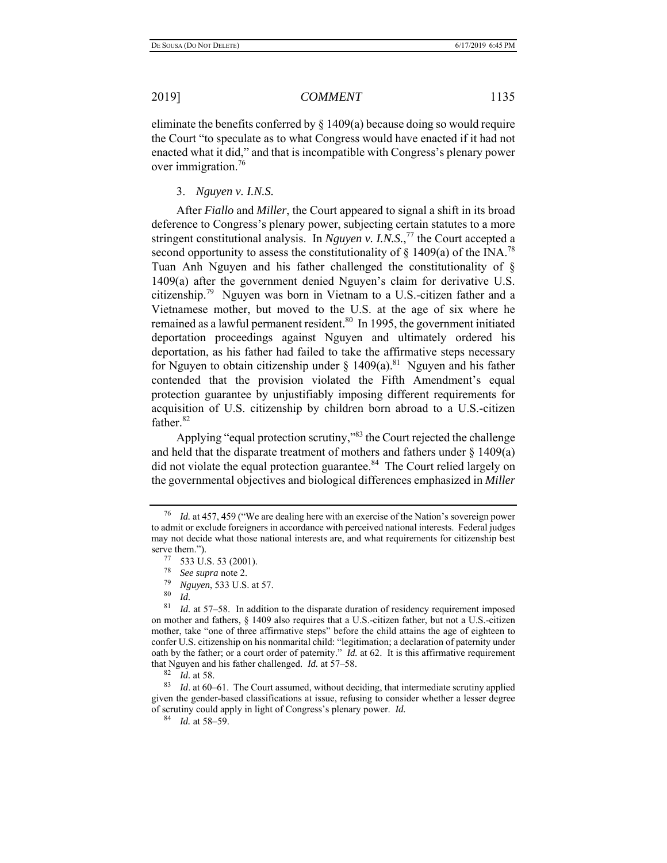eliminate the benefits conferred by  $\S 1409(a)$  because doing so would require the Court "to speculate as to what Congress would have enacted if it had not enacted what it did," and that is incompatible with Congress's plenary power over immigration.<sup>76</sup>

3. *Nguyen v. I.N.S.* 

After *Fiallo* and *Miller*, the Court appeared to signal a shift in its broad deference to Congress's plenary power, subjecting certain statutes to a more stringent constitutional analysis. In *Nguyen v. I.N.S.*, <sup>77</sup> the Court accepted a second opportunity to assess the constitutionality of  $\S$  1409(a) of the INA.<sup>78</sup> Tuan Anh Nguyen and his father challenged the constitutionality of § 1409(a) after the government denied Nguyen's claim for derivative U.S. citizenship.79 Nguyen was born in Vietnam to a U.S.-citizen father and a Vietnamese mother, but moved to the U.S. at the age of six where he remained as a lawful permanent resident. $80$  In 1995, the government initiated deportation proceedings against Nguyen and ultimately ordered his deportation, as his father had failed to take the affirmative steps necessary for Nguyen to obtain citizenship under  $\S$  1409(a).<sup>81</sup> Nguyen and his father contended that the provision violated the Fifth Amendment's equal protection guarantee by unjustifiably imposing different requirements for acquisition of U.S. citizenship by children born abroad to a U.S.-citizen father.<sup>82</sup>

Applying "equal protection scrutiny,"83 the Court rejected the challenge and held that the disparate treatment of mothers and fathers under  $\S$  1409(a) did not violate the equal protection guarantee. $84$  The Court relied largely on the governmental objectives and biological differences emphasized in *Miller* 

 $\begin{array}{cc} 80 & Id. \\ 81 & Id. \end{array}$ 

<sup>76</sup> *Id.* at 457, 459 ("We are dealing here with an exercise of the Nation's sovereign power to admit or exclude foreigners in accordance with perceived national interests. Federal judges may not decide what those national interests are, and what requirements for citizenship best serve them.").<br><sup>77</sup> 533 U.S. 53 (2001).

<sup>&</sup>lt;sup>78</sup> *See supra* note 2.

<sup>79</sup> *Nguyen*, 533 U.S. at 57.

Id. at 57–58. In addition to the disparate duration of residency requirement imposed on mother and fathers, § 1409 also requires that a U.S.-citizen father, but not a U.S.-citizen mother, take "one of three affirmative steps" before the child attains the age of eighteen to confer U.S. citizenship on his nonmarital child: "legitimation; a declaration of paternity under oath by the father; or a court order of paternity." *Id.* at 62. It is this affirmative requirement that Nguyen and his father challenged. *Id.* at  $57-58$ .<br> $\frac{82}{1}$  *Id.* at 58

*Id.* at 58.

<sup>83</sup> *Id*. at 60–61. The Court assumed, without deciding, that intermediate scrutiny applied given the gender-based classifications at issue, refusing to consider whether a lesser degree of scrutiny could apply in light of Congress's plenary power. *Id.* 

<sup>84</sup> *Id.* at 58–59.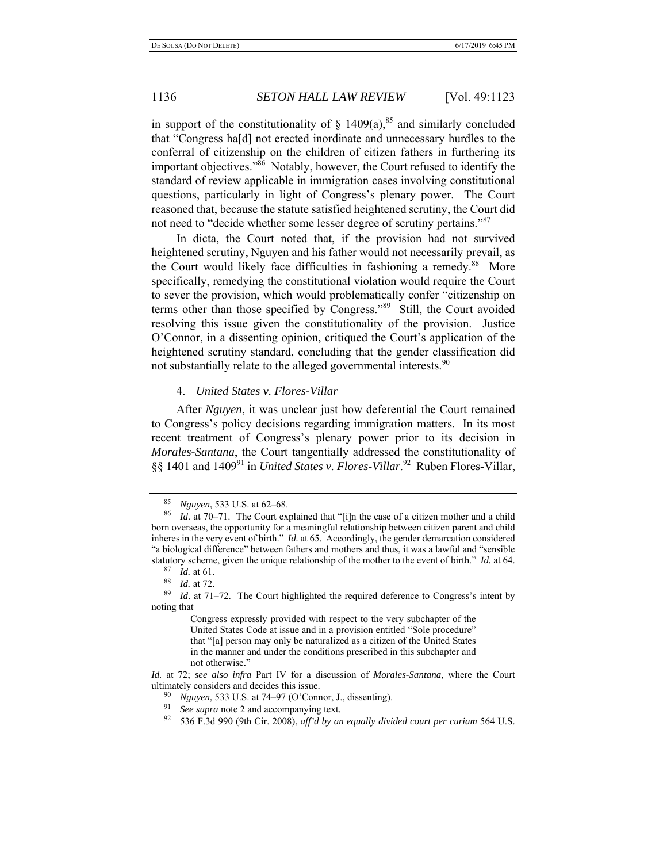in support of the constitutionality of  $\S$  1409(a),<sup>85</sup> and similarly concluded that "Congress ha[d] not erected inordinate and unnecessary hurdles to the conferral of citizenship on the children of citizen fathers in furthering its important objectives."86 Notably, however, the Court refused to identify the standard of review applicable in immigration cases involving constitutional questions, particularly in light of Congress's plenary power. The Court reasoned that, because the statute satisfied heightened scrutiny, the Court did not need to "decide whether some lesser degree of scrutiny pertains."<sup>87</sup>

In dicta, the Court noted that, if the provision had not survived heightened scrutiny, Nguyen and his father would not necessarily prevail, as the Court would likely face difficulties in fashioning a remedy.<sup>88</sup> More specifically, remedying the constitutional violation would require the Court to sever the provision, which would problematically confer "citizenship on terms other than those specified by Congress."<sup>89</sup> Still, the Court avoided resolving this issue given the constitutionality of the provision. Justice O'Connor, in a dissenting opinion, critiqued the Court's application of the heightened scrutiny standard, concluding that the gender classification did not substantially relate to the alleged governmental interests.<sup>90</sup>

### 4. *United States v. Flores-Villar*

After *Nguyen*, it was unclear just how deferential the Court remained to Congress's policy decisions regarding immigration matters. In its most recent treatment of Congress's plenary power prior to its decision in *Morales-Santana*, the Court tangentially addressed the constitutionality of §§ 1401 and 1409<sup>91</sup> in *United States v. Flores-Villar*.<sup>92</sup> Ruben Flores-Villar,

<sup>85</sup> *Nguyen*, 533 U.S. at 62–68.

<sup>86</sup> *Id.* at 70–71. The Court explained that "[i]n the case of a citizen mother and a child born overseas, the opportunity for a meaningful relationship between citizen parent and child inheres in the very event of birth." *Id.* at 65.Accordingly, the gender demarcation considered "a biological difference" between fathers and mothers and thus, it was a lawful and "sensible statutory scheme, given the unique relationship of the mother to the event of birth." *Id.* at 64.

 $\frac{87}{88}$  *Id.* at 61.

<sup>88</sup> *Id.* at 72.

*Id.* at 71–72. The Court highlighted the required deference to Congress's intent by noting that

Congress expressly provided with respect to the very subchapter of the United States Code at issue and in a provision entitled "Sole procedure" that "[a] person may only be naturalized as a citizen of the United States in the manner and under the conditions prescribed in this subchapter and not otherwise."

*Id.* at 72; *see also infra* Part IV for a discussion of *Morales-Santana*, where the Court ultimately considers and decides this issue.

*Nguyen*, 533 U.S. at 74–97 (O'Connor, J., dissenting).

<sup>91</sup> *See supra* note 2 and accompanying text.

<sup>92 536</sup> F.3d 990 (9th Cir. 2008), *aff'd by an equally divided court per curiam* 564 U.S.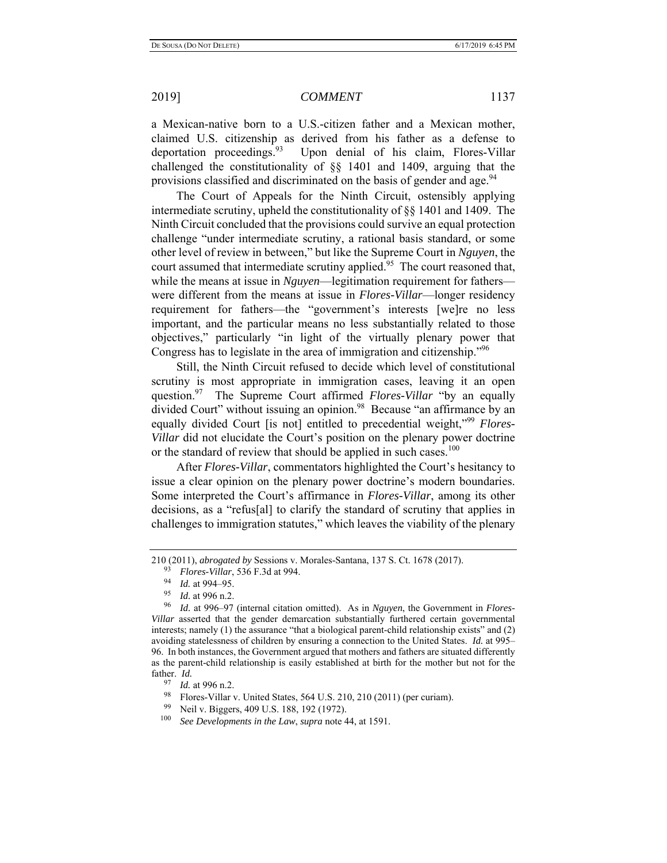a Mexican-native born to a U.S.-citizen father and a Mexican mother, claimed U.S. citizenship as derived from his father as a defense to deportation proceedings.<sup>93</sup> Upon denial of his claim, Flores-Villar challenged the constitutionality of §§ 1401 and 1409, arguing that the provisions classified and discriminated on the basis of gender and age.<sup>94</sup>

The Court of Appeals for the Ninth Circuit, ostensibly applying intermediate scrutiny, upheld the constitutionality of §§ 1401 and 1409. The Ninth Circuit concluded that the provisions could survive an equal protection challenge "under intermediate scrutiny, a rational basis standard, or some other level of review in between," but like the Supreme Court in *Nguyen*, the court assumed that intermediate scrutiny applied.<sup>95</sup> The court reasoned that, while the means at issue in *Nguyen*—legitimation requirement for fathers were different from the means at issue in *Flores-Villar*—longer residency requirement for fathers—the "government's interests [we]re no less important, and the particular means no less substantially related to those objectives," particularly "in light of the virtually plenary power that Congress has to legislate in the area of immigration and citizenship."96

Still, the Ninth Circuit refused to decide which level of constitutional scrutiny is most appropriate in immigration cases, leaving it an open question.97 The Supreme Court affirmed *Flores-Villar* "by an equally divided Court" without issuing an opinion.<sup>98</sup> Because "an affirmance by an equally divided Court [is not] entitled to precedential weight,"<sup>99</sup> Flores-*Villar* did not elucidate the Court's position on the plenary power doctrine or the standard of review that should be applied in such cases.<sup>100</sup>

After *Flores-Villar*, commentators highlighted the Court's hesitancy to issue a clear opinion on the plenary power doctrine's modern boundaries. Some interpreted the Court's affirmance in *Flores-Villar*, among its other decisions, as a "refus[al] to clarify the standard of scrutiny that applies in challenges to immigration statutes," which leaves the viability of the plenary

<sup>210 (2011),</sup> *abrogated by* Sessions v. Morales-Santana, 137 S. Ct. 1678 (2017).

<sup>93</sup> *Flores-Villar*, 536 F.3d at 994.

<sup>94</sup> *Id.* at 994–95.

 $\frac{95}{96}$  *Id.* at 996 n.2.

<sup>96</sup> *Id.* at 996–97 (internal citation omitted). As in *Nguyen*, the Government in *Flores-Villar* asserted that the gender demarcation substantially furthered certain governmental interests; namely (1) the assurance "that a biological parent-child relationship exists" and (2) avoiding statelessness of children by ensuring a connection to the United States. *Id.* at 995– 96. In both instances, the Government argued that mothers and fathers are situated differently as the parent-child relationship is easily established at birth for the mother but not for the father.  $Id$ .<br>97  $H$ 

*Id.* at 996 n.2.

<sup>&</sup>lt;sup>98</sup> Flores-Villar v. United States, 564 U.S. 210, 210 (2011) (per curiam).<br><sup>99</sup> Neil v. Biggare, 400 U.S. 198, 192, (1972).

<sup>&</sup>lt;sup>99</sup> Neil v. Biggers, 409 U.S. 188, 192 (1972).<br><sup>100</sup> See Davelopments in the Law supra note 4

See Developments in the Law, *supra* note 44, at 1591.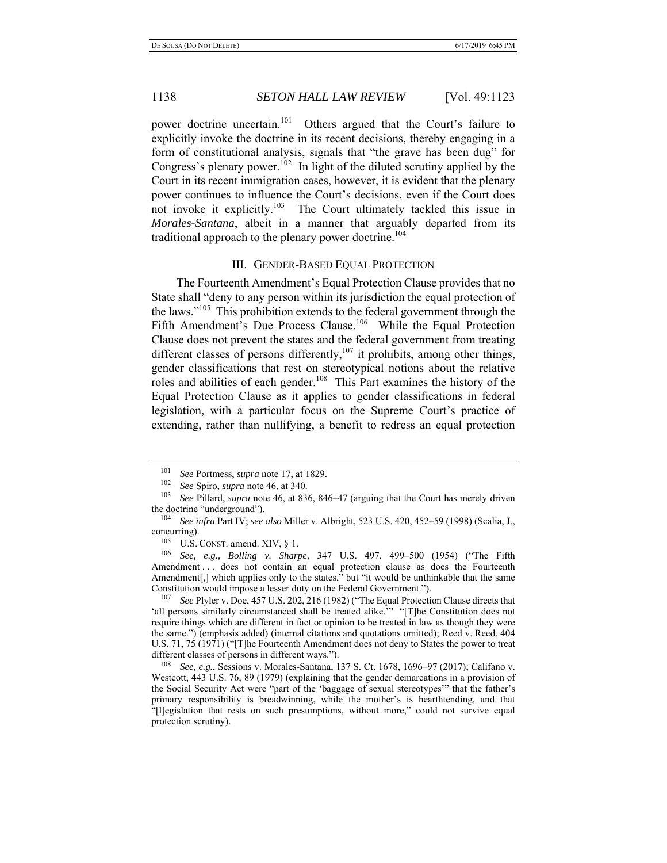power doctrine uncertain.<sup>101</sup> Others argued that the Court's failure to explicitly invoke the doctrine in its recent decisions, thereby engaging in a form of constitutional analysis, signals that "the grave has been dug" for Congress's plenary power.<sup>102</sup> In light of the diluted scrutiny applied by the Court in its recent immigration cases, however, it is evident that the plenary power continues to influence the Court's decisions, even if the Court does not invoke it explicitly.<sup>103</sup> The Court ultimately tackled this issue in *Morales-Santana*, albeit in a manner that arguably departed from its traditional approach to the plenary power doctrine.<sup>104</sup>

### III. GENDER-BASED EQUAL PROTECTION

The Fourteenth Amendment's Equal Protection Clause provides that no State shall "deny to any person within its jurisdiction the equal protection of the laws."<sup>105</sup> This prohibition extends to the federal government through the Fifth Amendment's Due Process Clause.<sup>106</sup> While the Equal Protection Clause does not prevent the states and the federal government from treating different classes of persons differently, $107$  it prohibits, among other things, gender classifications that rest on stereotypical notions about the relative roles and abilities of each gender.<sup>108</sup> This Part examines the history of the Equal Protection Clause as it applies to gender classifications in federal legislation, with a particular focus on the Supreme Court's practice of extending, rather than nullifying, a benefit to redress an equal protection

See Plyler v. Doe, 457 U.S. 202, 216 (1982) ("The Equal Protection Clause directs that 'all persons similarly circumstanced shall be treated alike.'" "[T]he Constitution does not require things which are different in fact or opinion to be treated in law as though they were the same.") (emphasis added) (internal citations and quotations omitted); Reed v. Reed, 404 U.S. 71, 75 (1971) ("[T]he Fourteenth Amendment does not deny to States the power to treat different classes of persons in different ways.").

108 *See, e.g.*, Sessions v. Morales-Santana, 137 S. Ct. 1678, 1696–97 (2017); Califano v. Westcott, 443 U.S. 76, 89 (1979) (explaining that the gender demarcations in a provision of the Social Security Act were "part of the 'baggage of sexual stereotypes'" that the father's primary responsibility is breadwinning, while the mother's is hearthtending, and that "[l]egislation that rests on such presumptions, without more," could not survive equal protection scrutiny).

<sup>101</sup> *See* Portmess, *supra* note 17, at 1829.

<sup>102</sup> *See* Spiro, *supra* note 46, at 340.

See Pillard, *supra* note 46, at 836, 846–47 (arguing that the Court has merely driven the doctrine "underground").

<sup>104</sup> *See infra* Part IV; *see also* Miller v. Albright, 523 U.S. 420, 452–59 (1998) (Scalia, J., concurring).

 $105$  U.S. CONST. amend. XIV, § 1.

<sup>106</sup> *See, e.g., Bolling v. Sharpe,* 347 U.S. 497, 499–500 (1954) ("The Fifth Amendment . . . does not contain an equal protection clause as does the Fourteenth Amendment[,] which applies only to the states," but "it would be unthinkable that the same Constitution would impose a lesser duty on the Federal Government.").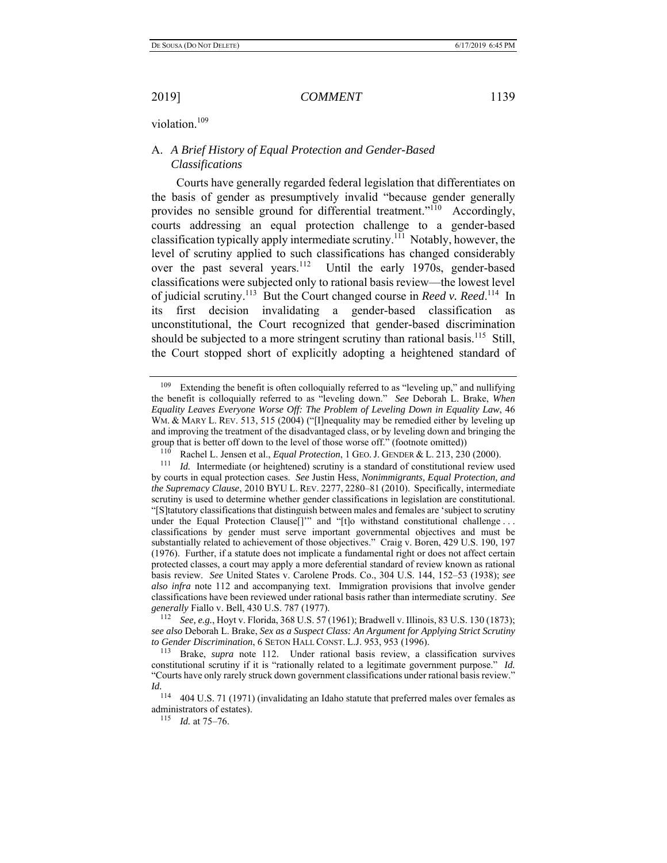violation.<sup>109</sup>

# A. *A Brief History of Equal Protection and Gender-Based Classifications*

Courts have generally regarded federal legislation that differentiates on the basis of gender as presumptively invalid "because gender generally provides no sensible ground for differential treatment."<sup>110</sup> Accordingly, courts addressing an equal protection challenge to a gender-based classification typically apply intermediate scrutiny.<sup>111</sup> Notably, however, the level of scrutiny applied to such classifications has changed considerably over the past several years.<sup>112</sup> Until the early 1970s, gender-based classifications were subjected only to rational basis review—the lowest level of judicial scrutiny.<sup>113</sup> But the Court changed course in *Reed v. Reed.*<sup>114</sup> In its first decision invalidating a gender-based classification as unconstitutional, the Court recognized that gender-based discrimination should be subjected to a more stringent scrutiny than rational basis.<sup>115</sup> Still, the Court stopped short of explicitly adopting a heightened standard of

<sup>&</sup>lt;sup>109</sup> Extending the benefit is often colloquially referred to as "leveling up," and nullifying the benefit is colloquially referred to as "leveling down." *See* Deborah L. Brake, *When Equality Leaves Everyone Worse Off: The Problem of Leveling Down in Equality Law*, 46 WM. & MARY L. REV. 513, 515 (2004) ("[I]nequality may be remedied either by leveling up and improving the treatment of the disadvantaged class, or by leveling down and bringing the group that is better off down to the level of those worse off." (footnote omitted))

<sup>&</sup>lt;sup>110</sup> Rachel L. Jensen et al., *Equal Protection*, 1 GEO. J. GENDER & L. 213, 230 (2000). <sup>111</sup> *Id.* Intermediate (or heightened) scrutiny is a standard of constitutional review used by courts in equal protection cases. *See* Justin Hess, *Nonimmigrants, Equal Protection, and the Supremacy Clause*, 2010 BYU L. REV. 2277, 2280–81 (2010). Specifically, intermediate scrutiny is used to determine whether gender classifications in legislation are constitutional. "[S]tatutory classifications that distinguish between males and females are 'subject to scrutiny under the Equal Protection Clause<sup>[]""</sup> and "<sup>[t]</sup>o withstand constitutional challenge ... classifications by gender must serve important governmental objectives and must be substantially related to achievement of those objectives." Craig v. Boren, 429 U.S. 190, 197 (1976). Further, if a statute does not implicate a fundamental right or does not affect certain protected classes, a court may apply a more deferential standard of review known as rational basis review. *See* United States v. Carolene Prods. Co., 304 U.S. 144, 152–53 (1938); *see also infra* note 112 and accompanying text. Immigration provisions that involve gender classifications have been reviewed under rational basis rather than intermediate scrutiny. *See* 

<sup>&</sup>lt;sup>112</sup> *See, e.g.*, Hoyt v. Florida, 368 U.S. 57 (1961); Bradwell v. Illinois, 83 U.S. 130 (1873); *see also* Deborah L. Brake, *Sex as a Suspect Class: An Argument for Applying Strict Scrutiny to Gender Discrimination*, 6 SETON HALL CONST. L.J. 953, 953 (1996).

<sup>113</sup> Brake, *supra* note 112.Under rational basis review, a classification survives constitutional scrutiny if it is "rationally related to a legitimate government purpose." *Id.* "Courts have only rarely struck down government classifications under rational basis review." *Id.*

<sup>114 404</sup> U.S. 71 (1971) (invalidating an Idaho statute that preferred males over females as administrators of estates).

<sup>115</sup> *Id.* at 75–76.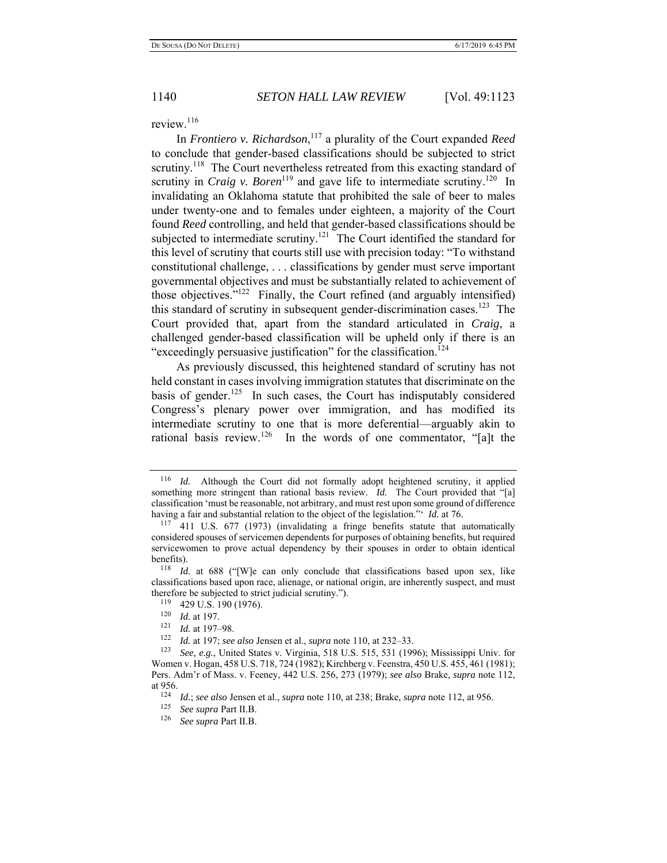review.<sup>116</sup>

In *Frontiero v. Richardson*, 117 a plurality of the Court expanded *Reed*  to conclude that gender-based classifications should be subjected to strict scrutiny.<sup>118</sup> The Court nevertheless retreated from this exacting standard of scrutiny in *Craig v. Boren*<sup>119</sup> and gave life to intermediate scrutiny.<sup>120</sup> In invalidating an Oklahoma statute that prohibited the sale of beer to males under twenty-one and to females under eighteen, a majority of the Court found *Reed* controlling, and held that gender-based classifications should be subjected to intermediate scrutiny.<sup>121</sup> The Court identified the standard for this level of scrutiny that courts still use with precision today: "To withstand constitutional challenge, . . . classifications by gender must serve important governmental objectives and must be substantially related to achievement of those objectives."122 Finally, the Court refined (and arguably intensified) this standard of scrutiny in subsequent gender-discrimination cases.<sup>123</sup> The Court provided that, apart from the standard articulated in *Craig*, a challenged gender-based classification will be upheld only if there is an "exceedingly persuasive justification" for the classification.<sup>124</sup>

As previously discussed, this heightened standard of scrutiny has not held constant in cases involving immigration statutes that discriminate on the basis of gender.<sup>125</sup> In such cases, the Court has indisputably considered Congress's plenary power over immigration, and has modified its intermediate scrutiny to one that is more deferential—arguably akin to rational basis review.<sup>126</sup> In the words of one commentator, "[a]t the

<sup>116</sup> *Id.* Although the Court did not formally adopt heightened scrutiny, it applied something more stringent than rational basis review. *Id.* The Court provided that "[a] classification 'must be reasonable, not arbitrary, and must rest upon some ground of difference having a fair and substantial relation to the object of the legislation."' *Id.* at 76.

<sup>&</sup>lt;sup>117</sup> 411 U.S. 677 (1973) (invalidating a fringe benefits statute that automatically considered spouses of servicemen dependents for purposes of obtaining benefits, but required servicewomen to prove actual dependency by their spouses in order to obtain identical benefits).

Id. at 688 ("[W]e can only conclude that classifications based upon sex, like classifications based upon race, alienage, or national origin, are inherently suspect, and must therefore be subjected to strict judicial scrutiny.").

 $^{119}$  429 U.S. 190 (1976).

<sup>120</sup> *Id.* at 197.<br><sup>121</sup> *Id.* at 197–98.<br><sup>122</sup> *Id.* at 197; *see also* Jensen et al., *supra* note 110, at 232–33.

<sup>123</sup> *See, e.g.*, United States v. Virginia, 518 U.S. 515, 531 (1996); Mississippi Univ. for Women v. Hogan, 458 U.S. 718, 724 (1982); Kirchberg v. Feenstra, 450 U.S. 455, 461 (1981); Pers. Adm'r of Mass. v. Feeney, 442 U.S. 256, 273 (1979); *see also* Brake, *supra* note 112, at 956. 124 *Id.*; *see also* Jensen et al., *supra* note 110, at 238; Brake, *supra* note 112, at 956.

<sup>&</sup>lt;sup>125</sup> *See supra* Part II.B.<br><sup>126</sup> *See supra* Part II B.

<sup>126</sup> *See supra* Part II.B.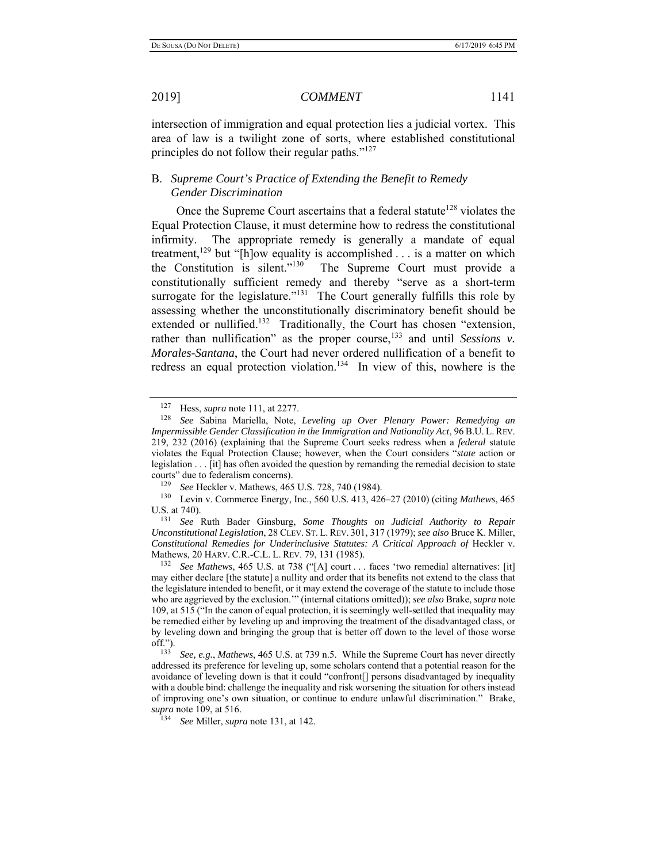intersection of immigration and equal protection lies a judicial vortex. This area of law is a twilight zone of sorts, where established constitutional principles do not follow their regular paths."<sup>127</sup>

# B. *Supreme Court's Practice of Extending the Benefit to Remedy Gender Discrimination*

Once the Supreme Court ascertains that a federal statute<sup>128</sup> violates the Equal Protection Clause, it must determine how to redress the constitutional infirmity. The appropriate remedy is generally a mandate of equal treatment,<sup>129</sup> but "[h]ow equality is accomplished . . . is a matter on which the Constitution is silent."130 The Supreme Court must provide a constitutionally sufficient remedy and thereby "serve as a short-term surrogate for the legislature."<sup>131</sup> The Court generally fulfills this role by assessing whether the unconstitutionally discriminatory benefit should be extended or nullified.<sup>132</sup> Traditionally, the Court has chosen "extension, rather than nullification" as the proper course,<sup>133</sup> and until *Sessions v. Morales-Santana*, the Court had never ordered nullification of a benefit to redress an equal protection violation.<sup>134</sup> In view of this, nowhere is the

<sup>127</sup> Hess, *supra* note 111, at 2277.

<sup>128</sup> *See* Sabina Mariella, Note, *Leveling up Over Plenary Power: Remedying an Impermissible Gender Classification in the Immigration and Nationality Act*, 96 B.U. L. REV. 219, 232 (2016) (explaining that the Supreme Court seeks redress when a *federal* statute violates the Equal Protection Clause; however, when the Court considers "*state* action or legislation . . . [it] has often avoided the question by remanding the remedial decision to state courts" due to federalism concerns).<br><sup>129</sup> See Hoakler v. Mathews, 465

<sup>129</sup> *See* Heckler v. Mathews, 465 U.S. 728, 740 (1984).

<sup>130</sup> Levin v. Commerce Energy, Inc., 560 U.S. 413, 426–27 (2010) (citing *Mathews*, 465 U.S. at 740).

<sup>131</sup> *See* Ruth Bader Ginsburg, *Some Thoughts on Judicial Authority to Repair Unconstitutional Legislation*, 28 CLEV. ST. L. REV. 301, 317 (1979); *see also* Bruce K. Miller, *Constitutional Remedies for Underinclusive Statutes: A Critical Approach of Heckler v.* Mathews, 20 HARV. C.R.-C.L. L. REV. 79, 131 (1985).

<sup>132</sup> *See Mathews*, 465 U.S. at 738 ("[A] court . . . faces 'two remedial alternatives: [it] may either declare [the statute] a nullity and order that its benefits not extend to the class that the legislature intended to benefit, or it may extend the coverage of the statute to include those who are aggrieved by the exclusion.'" (internal citations omitted)); *see also* Brake, *supra* note 109, at 515 ("In the canon of equal protection, it is seemingly well-settled that inequality may be remedied either by leveling up and improving the treatment of the disadvantaged class, or by leveling down and bringing the group that is better off down to the level of those worse off.").

<sup>133</sup> *See, e.g.*, *Mathews*, 465 U.S. at 739 n.5. While the Supreme Court has never directly addressed its preference for leveling up, some scholars contend that a potential reason for the avoidance of leveling down is that it could "confront[] persons disadvantaged by inequality with a double bind: challenge the inequality and risk worsening the situation for others instead of improving one's own situation, or continue to endure unlawful discrimination." Brake, *supra* note 109, at 516.

<sup>134</sup> *See* Miller, *supra* note 131, at 142.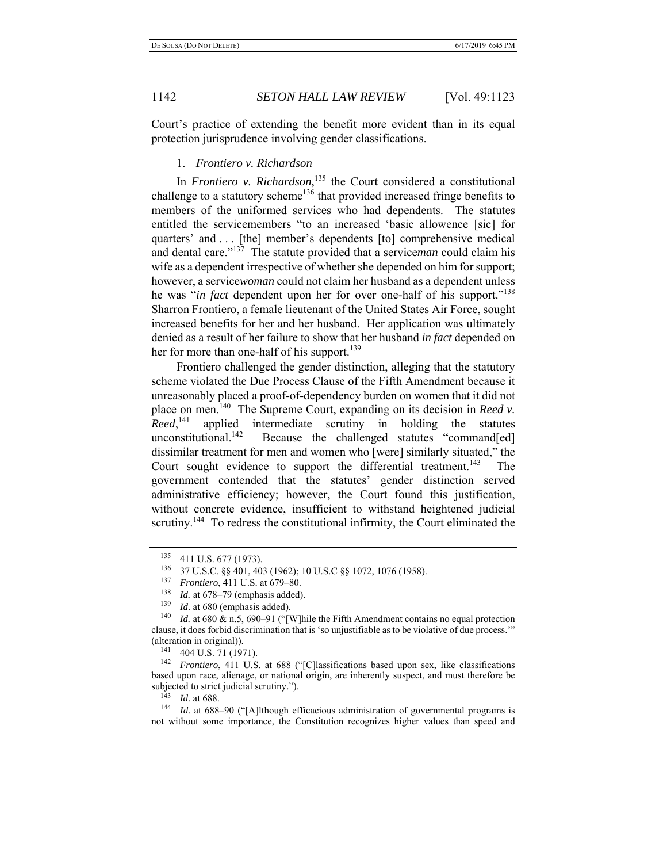Court's practice of extending the benefit more evident than in its equal protection jurisprudence involving gender classifications.

### 1. *Frontiero v. Richardson*

In *Frontiero v. Richardson*, 135 the Court considered a constitutional challenge to a statutory scheme<sup>136</sup> that provided increased fringe benefits to members of the uniformed services who had dependents. The statutes entitled the servicemembers "to an increased 'basic allowence [sic] for quarters' and . . . [the] member's dependents [to] comprehensive medical and dental care."137 The statute provided that a service*man* could claim his wife as a dependent irrespective of whether she depended on him for support; however, a service*woman* could not claim her husband as a dependent unless he was "*in fact* dependent upon her for over one-half of his support."138 Sharron Frontiero, a female lieutenant of the United States Air Force, sought increased benefits for her and her husband. Her application was ultimately denied as a result of her failure to show that her husband *in fact* depended on her for more than one-half of his support.<sup>139</sup>

Frontiero challenged the gender distinction, alleging that the statutory scheme violated the Due Process Clause of the Fifth Amendment because it unreasonably placed a proof-of-dependency burden on women that it did not place on men.140 The Supreme Court, expanding on its decision in *Reed v. Reed*, applied intermediate scrutiny in holding the statutes unconstitutional.<sup>142</sup> Because the challenged statutes "command[ed] dissimilar treatment for men and women who [were] similarly situated," the Court sought evidence to support the differential treatment.<sup>143</sup> The government contended that the statutes' gender distinction served administrative efficiency; however, the Court found this justification, without concrete evidence, insufficient to withstand heightened judicial scrutiny.<sup>144</sup> To redress the constitutional infirmity, the Court eliminated the

 $^{135}$  411 U.S. 677 (1973).<br> $^{136}$  37 U.S.C. 88 401 40

<sup>136 37</sup> U.S.C. §§ 401, 403 (1962); 10 U.S.C §§ 1072, 1076 (1958).

<sup>&</sup>lt;sup>137</sup> *Frontiero*, 411 U.S. at 679–80.<br><sup>138</sup> *Let* 678, 70 (apphasis added)

<sup>&</sup>lt;sup>138</sup> *Id.* at 678–79 (emphasis added).<br><sup>139</sup> *Id.* at 680 (emphasis added).

Id. at 680 (emphasis added).

<sup>&</sup>lt;sup>140</sup> *Id.* at 680 & n.5, 690–91 ("[W]hile the Fifth Amendment contains no equal protection clause, it does forbid discrimination that is 'so unjustifiable as to be violative of due process.'" (alteration in original)).<br> $^{141}$  404 U S 71 (19)

<sup>141 404</sup> U.S. 71 (1971). 142 *Frontiero*, 411 U.S. at 688 ("[C]lassifications based upon sex, like classifications based upon race, alienage, or national origin, are inherently suspect, and must therefore be subjected to strict judicial scrutiny.").<br> $\frac{143}{143}$  *Id.* at 688.

<sup>&</sup>lt;sup>144</sup> *Id.* at 688-90 ("[A]lthough efficacious administration of governmental programs is not without some importance, the Constitution recognizes higher values than speed and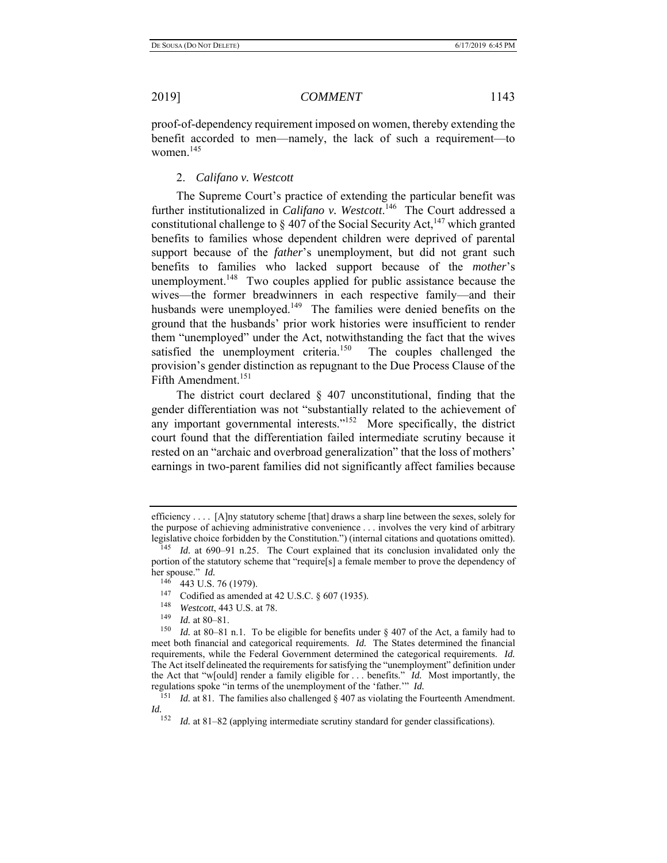proof-of-dependency requirement imposed on women, thereby extending the benefit accorded to men—namely, the lack of such a requirement—to women. $145$ 

#### 2. *Califano v. Westcott*

The Supreme Court's practice of extending the particular benefit was further institutionalized in *Califano v. Westcott*.<sup>146</sup> The Court addressed a constitutional challenge to  $\S 407$  of the Social Security Act,<sup>147</sup> which granted benefits to families whose dependent children were deprived of parental support because of the *father*'s unemployment, but did not grant such benefits to families who lacked support because of the *mother*'s unemployment.<sup>148</sup> Two couples applied for public assistance because the wives—the former breadwinners in each respective family—and their husbands were unemployed.<sup>149</sup> The families were denied benefits on the ground that the husbands' prior work histories were insufficient to render them "unemployed" under the Act, notwithstanding the fact that the wives satisfied the unemployment criteria.<sup>150</sup> The couples challenged the provision's gender distinction as repugnant to the Due Process Clause of the Fifth Amendment.<sup>151</sup>

The district court declared § 407 unconstitutional, finding that the gender differentiation was not "substantially related to the achievement of any important governmental interests."<sup>152</sup> More specifically, the district court found that the differentiation failed intermediate scrutiny because it rested on an "archaic and overbroad generalization" that the loss of mothers' earnings in two-parent families did not significantly affect families because

- <sup>147</sup> Codified as amended at 42 U.S.C. § 607 (1935).
- <sup>148</sup> *Westcott*, 443 U.S. at 78.<br><sup>149</sup> *L*d at 80, 81
- *Id.* at 80–81.

efficiency . . . . [A]ny statutory scheme [that] draws a sharp line between the sexes, solely for the purpose of achieving administrative convenience . . . involves the very kind of arbitrary legislative choice forbidden by the Constitution.") (internal citations and quotations omitted).

<sup>145</sup> *Id.* at 690–91 n.25. The Court explained that its conclusion invalidated only the portion of the statutory scheme that "require[s] a female member to prove the dependency of her spouse." *Id.* 

 $146$  443 U.S. 76 (1979).

<sup>150</sup> *Id.* at 80–81 n.1. To be eligible for benefits under § 407 of the Act, a family had to meet both financial and categorical requirements. *Id.* The States determined the financial requirements, while the Federal Government determined the categorical requirements. *Id.* The Act itself delineated the requirements for satisfying the "unemployment" definition under the Act that "w[ould] render a family eligible for . . . benefits." *Id.* Most importantly, the regulations spoke "in terms of the unemployment of the 'father.'" *Id.* 

*Id.* at 81. The families also challenged § 407 as violating the Fourteenth Amendment. *Id.* 152

*Id.* at 81–82 (applying intermediate scrutiny standard for gender classifications).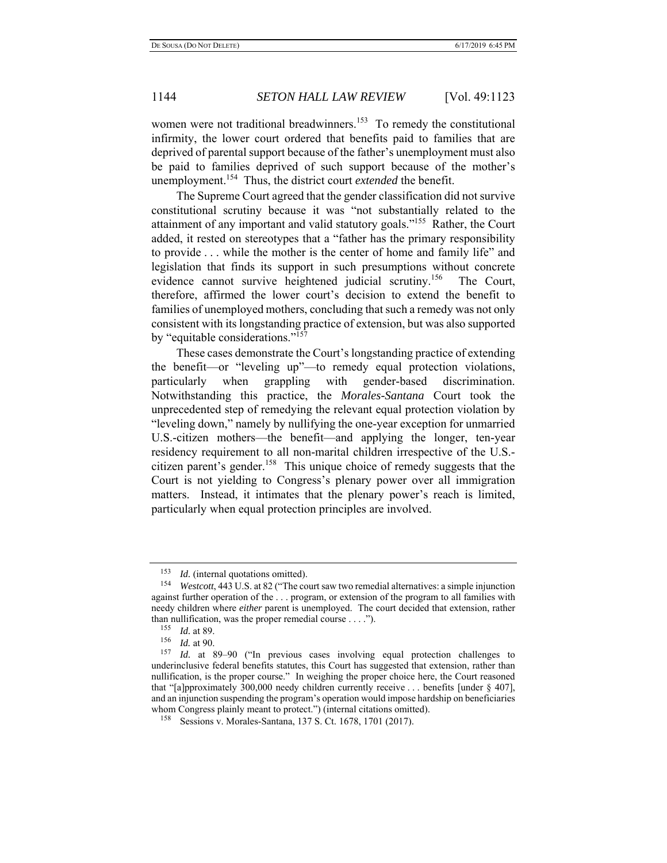women were not traditional breadwinners.<sup>153</sup> To remedy the constitutional infirmity, the lower court ordered that benefits paid to families that are deprived of parental support because of the father's unemployment must also be paid to families deprived of such support because of the mother's unemployment.154 Thus, the district court *extended* the benefit.

The Supreme Court agreed that the gender classification did not survive constitutional scrutiny because it was "not substantially related to the attainment of any important and valid statutory goals."155 Rather, the Court added, it rested on stereotypes that a "father has the primary responsibility to provide . . . while the mother is the center of home and family life" and legislation that finds its support in such presumptions without concrete evidence cannot survive heightened judicial scrutiny.<sup>156</sup> The Court, therefore, affirmed the lower court's decision to extend the benefit to families of unemployed mothers, concluding that such a remedy was not only consistent with its longstanding practice of extension, but was also supported by "equitable considerations."157

These cases demonstrate the Court's longstanding practice of extending the benefit—or "leveling up"—to remedy equal protection violations, particularly when grappling with gender-based discrimination. Notwithstanding this practice, the *Morales-Santana* Court took the unprecedented step of remedying the relevant equal protection violation by "leveling down," namely by nullifying the one-year exception for unmarried U.S.-citizen mothers—the benefit—and applying the longer, ten-year residency requirement to all non-marital children irrespective of the U.S. citizen parent's gender.<sup>158</sup> This unique choice of remedy suggests that the Court is not yielding to Congress's plenary power over all immigration matters. Instead, it intimates that the plenary power's reach is limited, particularly when equal protection principles are involved.

<sup>153</sup> *Id.* (internal quotations omitted).

<sup>154</sup> *Westcott*, 443 U.S. at 82 ("The court saw two remedial alternatives: a simple injunction against further operation of the . . . program, or extension of the program to all families with needy children where *either* parent is unemployed. The court decided that extension, rather than nullification, was the proper remedial course  $\dots$ .").<br> $\frac{155}{156}$   $\frac{11}{100}$  + 80.

 $\frac{155}{156}$  *Id.* at 89.

 $\frac{156}{157}$  *Id.* at 90.

Id. at 89–90 ("In previous cases involving equal protection challenges to underinclusive federal benefits statutes, this Court has suggested that extension, rather than nullification, is the proper course." In weighing the proper choice here, the Court reasoned that "[a]pproximately 300,000 needy children currently receive . . . benefits [under § 407], and an injunction suspending the program's operation would impose hardship on beneficiaries whom Congress plainly meant to protect.") (internal citations omitted).

<sup>158</sup> Sessions v. Morales-Santana, 137 S. Ct. 1678, 1701 (2017).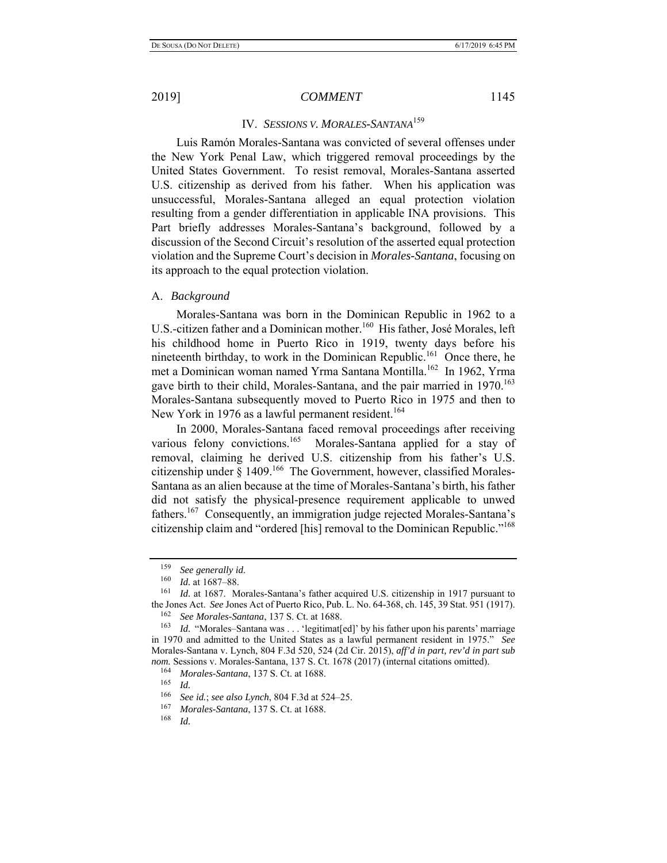# IV. *SESSIONS V. MORALES-SANTANA*<sup>159</sup>

Luis Ramón Morales-Santana was convicted of several offenses under the New York Penal Law, which triggered removal proceedings by the United States Government. To resist removal, Morales-Santana asserted U.S. citizenship as derived from his father. When his application was unsuccessful, Morales-Santana alleged an equal protection violation resulting from a gender differentiation in applicable INA provisions. This Part briefly addresses Morales-Santana's background, followed by a discussion of the Second Circuit's resolution of the asserted equal protection violation and the Supreme Court's decision in *Morales-Santana*, focusing on its approach to the equal protection violation.

#### A. *Background*

Morales-Santana was born in the Dominican Republic in 1962 to a U.S.-citizen father and a Dominican mother.<sup>160</sup> His father, José Morales, left his childhood home in Puerto Rico in 1919, twenty days before his nineteenth birthday, to work in the Dominican Republic.<sup>161</sup> Once there, he met a Dominican woman named Yrma Santana Montilla.<sup>162</sup> In 1962, Yrma gave birth to their child, Morales-Santana, and the pair married in 1970.<sup>163</sup> Morales-Santana subsequently moved to Puerto Rico in 1975 and then to New York in 1976 as a lawful permanent resident.<sup>164</sup>

In 2000, Morales-Santana faced removal proceedings after receiving various felony convictions.<sup>165</sup> Morales-Santana applied for a stay of removal, claiming he derived U.S. citizenship from his father's U.S. citizenship under  $\S 1409$ .<sup>166</sup> The Government, however, classified Morales-Santana as an alien because at the time of Morales-Santana's birth, his father did not satisfy the physical-presence requirement applicable to unwed fathers.<sup>167</sup> Consequently, an immigration judge rejected Morales-Santana's citizenship claim and "ordered [his] removal to the Dominican Republic."168

<sup>159</sup>*See generally id*. 160 *Id.* at 1687–88.

Id. at 1687. Morales-Santana's father acquired U.S. citizenship in 1917 pursuant to the Jones Act. *See* Jones Act of Puerto Rico, Pub. L. No. 64-368, ch. 145, 39 Stat. 951 (1917).

<sup>162</sup> *See Morales-Santana*, 137 S. Ct. at 1688.

<sup>&</sup>lt;sup>163</sup> *Id.* "Morales–Santana was . . . 'legitimat[ed]' by his father upon his parents' marriage in 1970 and admitted to the United States as a lawful permanent resident in 1975." *See*  Morales-Santana v. Lynch, 804 F.3d 520, 524 (2d Cir. 2015), *aff'd in part, rev'd in part sub nom.* Sessions v. Morales-Santana, 137 S. Ct. 1678 (2017) (internal citations omitted).

<sup>164</sup> *Morales-Santana*, 137 S. Ct. at 1688.

<sup>165</sup>*Id.* 166 *See id.*; *see also Lynch*, 804 F.3d at 524–25.

<sup>167</sup> *Morales-Santana*, 137 S. Ct. at 1688.

<sup>168</sup> *Id.*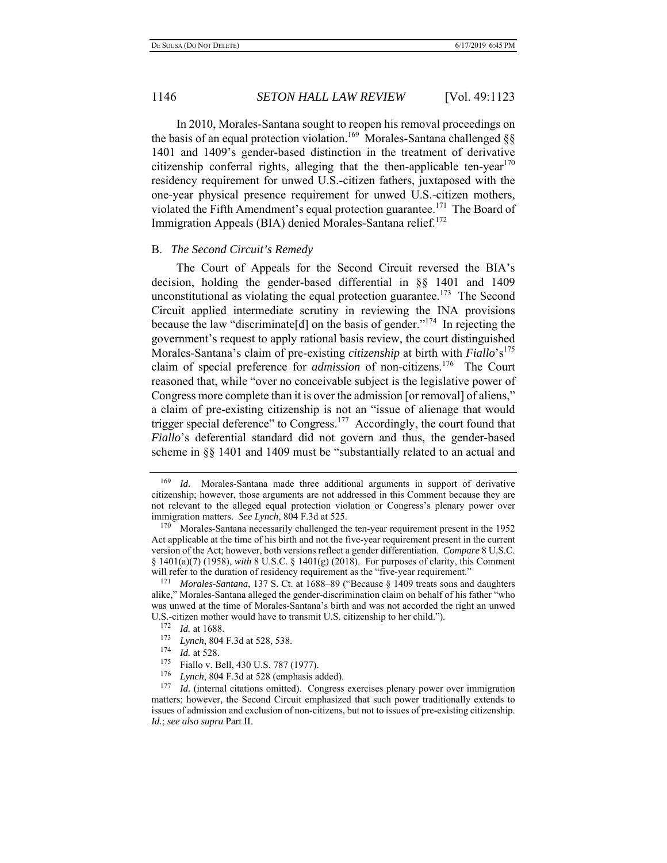In 2010, Morales-Santana sought to reopen his removal proceedings on the basis of an equal protection violation.<sup>169</sup> Morales-Santana challenged §§ 1401 and 1409's gender-based distinction in the treatment of derivative citizenship conferral rights, alleging that the then-applicable ten-year  $170$ residency requirement for unwed U.S.-citizen fathers, juxtaposed with the one-year physical presence requirement for unwed U.S.-citizen mothers, violated the Fifth Amendment's equal protection guarantee.<sup>171</sup> The Board of Immigration Appeals (BIA) denied Morales-Santana relief.<sup>172</sup>

#### B. *The Second Circuit's Remedy*

The Court of Appeals for the Second Circuit reversed the BIA's decision, holding the gender-based differential in §§ 1401 and 1409 unconstitutional as violating the equal protection guarantee.<sup>173</sup> The Second Circuit applied intermediate scrutiny in reviewing the INA provisions because the law "discriminate[d] on the basis of gender."174 In rejecting the government's request to apply rational basis review, the court distinguished Morales-Santana's claim of pre-existing *citizenship* at birth with *Fiallo*'s<sup>175</sup> claim of special preference for *admission* of non-citizens.<sup>176</sup> The Court reasoned that, while "over no conceivable subject is the legislative power of Congress more complete than it is over the admission [or removal] of aliens," a claim of pre-existing citizenship is not an "issue of alienage that would trigger special deference" to Congress.<sup>177</sup> Accordingly, the court found that *Fiallo*'s deferential standard did not govern and thus, the gender-based scheme in §§ 1401 and 1409 must be "substantially related to an actual and

<sup>169</sup> *Id.* Morales-Santana made three additional arguments in support of derivative citizenship; however, those arguments are not addressed in this Comment because they are not relevant to the alleged equal protection violation or Congress's plenary power over immigration matters. *See Lynch*, 804 F.3d at 525.

<sup>&</sup>lt;sup>170</sup> Morales-Santana necessarily challenged the ten-year requirement present in the 1952 Act applicable at the time of his birth and not the five-year requirement present in the current version of the Act; however, both versions reflect a gender differentiation. *Compare* 8 U.S.C. § 1401(a)(7) (1958), *with* 8 U.S.C. § 1401(g) (2018). For purposes of clarity, this Comment will refer to the duration of residency requirement as the "five-year requirement."<br><sup>171</sup> Morales Santana, 137 S. Ct. at 1688, 80 ("Because 8,1400 treats sons and

*Morales-Santana*, 137 S. Ct. at 1688–89 ("Because § 1409 treats sons and daughters alike," Morales-Santana alleged the gender-discrimination claim on behalf of his father "who was unwed at the time of Morales-Santana's birth and was not accorded the right an unwed U.S.-citizen mother would have to transmit U.S. citizenship to her child.").

 $\frac{172}{173}$  *Id.* at 1688.

<sup>&</sup>lt;sup>173</sup> *Lynch*, 804 F.3d at 528, 538.<br><sup>174</sup> *Let* at 528

*Id.* at 528.

<sup>&</sup>lt;sup>175</sup> Fiallo v. Bell, 430 U.S. 787 (1977).

Lynch, 804 F.3d at 528 (emphasis added).

<sup>&</sup>lt;sup>177</sup> *Id.* (internal citations omitted). Congress exercises plenary power over immigration matters; however, the Second Circuit emphasized that such power traditionally extends to issues of admission and exclusion of non-citizens, but not to issues of pre-existing citizenship. *Id.*; *see also supra* Part II.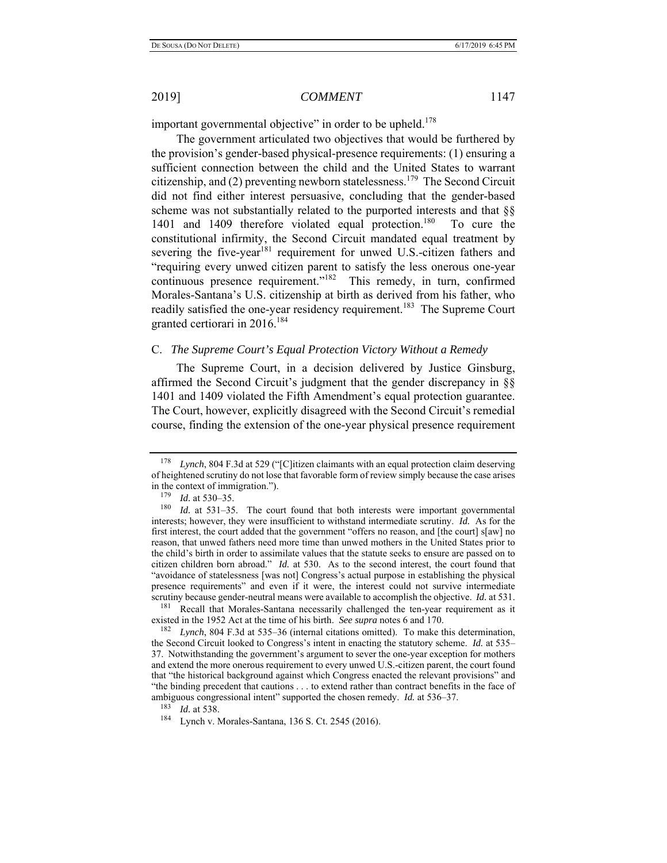important governmental objective" in order to be upheld.<sup>178</sup>

The government articulated two objectives that would be furthered by the provision's gender-based physical-presence requirements: (1) ensuring a sufficient connection between the child and the United States to warrant citizenship, and (2) preventing newborn statelessness.<sup>179</sup> The Second Circuit did not find either interest persuasive, concluding that the gender-based scheme was not substantially related to the purported interests and that §§ 1401 and 1409 therefore violated equal protection.<sup>180</sup> To cure the constitutional infirmity, the Second Circuit mandated equal treatment by severing the five-year<sup>181</sup> requirement for unwed U.S.-citizen fathers and "requiring every unwed citizen parent to satisfy the less onerous one-year continuous presence requirement."<sup>182</sup> This remedy, in turn, confirmed Morales-Santana's U.S. citizenship at birth as derived from his father, who readily satisfied the one-year residency requirement.<sup>183</sup> The Supreme Court granted certiorari in 2016.<sup>184</sup>

### C. *The Supreme Court's Equal Protection Victory Without a Remedy*

The Supreme Court, in a decision delivered by Justice Ginsburg, affirmed the Second Circuit's judgment that the gender discrepancy in §§ 1401 and 1409 violated the Fifth Amendment's equal protection guarantee. The Court, however, explicitly disagreed with the Second Circuit's remedial course, finding the extension of the one-year physical presence requirement

<sup>178</sup> *Lynch*, 804 F.3d at 529 ("[C]itizen claimants with an equal protection claim deserving of heightened scrutiny do not lose that favorable form of review simply because the case arises in the context of immigration.").

 $\frac{179}{180}$  *Id.* at 530–35.

Id. at 531–35. The court found that both interests were important governmental interests; however, they were insufficient to withstand intermediate scrutiny. *Id.* As for the first interest, the court added that the government "offers no reason, and [the court] s[aw] no reason, that unwed fathers need more time than unwed mothers in the United States prior to the child's birth in order to assimilate values that the statute seeks to ensure are passed on to citizen children born abroad." *Id.* at 530. As to the second interest, the court found that "avoidance of statelessness [was not] Congress's actual purpose in establishing the physical presence requirements" and even if it were, the interest could not survive intermediate scrutiny because gender-neutral means were available to accomplish the objective. *Id.* at 531.

<sup>&</sup>lt;sup>181</sup> Recall that Morales-Santana necessarily challenged the ten-year requirement as it existed in the 1952 Act at the time of his birth. *See supra* notes 6 and 170.

<sup>182</sup> *Lynch*, 804 F.3d at 535–36 (internal citations omitted). To make this determination, the Second Circuit looked to Congress's intent in enacting the statutory scheme. *Id.* at 535– 37. Notwithstanding the government's argument to sever the one-year exception for mothers and extend the more onerous requirement to every unwed U.S.-citizen parent, the court found that "the historical background against which Congress enacted the relevant provisions" and "the binding precedent that cautions . . . to extend rather than contract benefits in the face of ambiguous congressional intent" supported the chosen remedy. *Id.* at 536–37.

<sup>183</sup> *Id.* at 538.

<sup>184</sup> Lynch v. Morales-Santana, 136 S. Ct. 2545 (2016).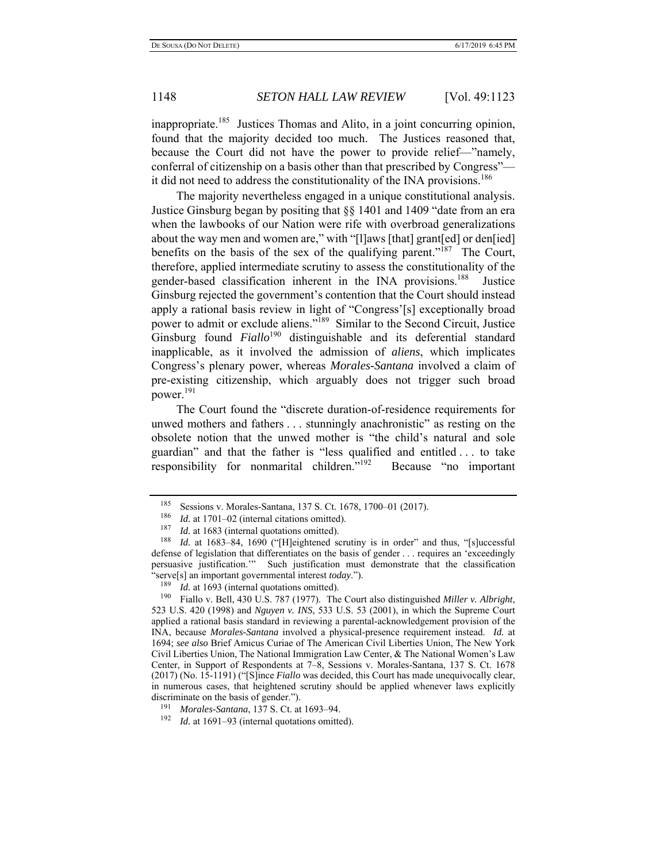inappropriate.<sup>185</sup> Justices Thomas and Alito, in a joint concurring opinion, found that the majority decided too much. The Justices reasoned that, because the Court did not have the power to provide relief—"namely, conferral of citizenship on a basis other than that prescribed by Congress" it did not need to address the constitutionality of the INA provisions.<sup>186</sup>

The majority nevertheless engaged in a unique constitutional analysis. Justice Ginsburg began by positing that §§ 1401 and 1409 "date from an era when the lawbooks of our Nation were rife with overbroad generalizations about the way men and women are," with "[l]aws [that] grant[ed] or den[ied] benefits on the basis of the sex of the qualifying parent."<sup>187</sup> The Court, therefore, applied intermediate scrutiny to assess the constitutionality of the gender-based classification inherent in the INA provisions.<sup>188</sup> Justice Ginsburg rejected the government's contention that the Court should instead apply a rational basis review in light of "Congress'[s] exceptionally broad power to admit or exclude aliens."189 Similar to the Second Circuit, Justice Ginsburg found *Fiallo*<sup>190</sup> distinguishable and its deferential standard inapplicable, as it involved the admission of *aliens*, which implicates Congress's plenary power, whereas *Morales-Santana* involved a claim of pre-existing citizenship, which arguably does not trigger such broad power.<sup>191</sup>

The Court found the "discrete duration-of-residence requirements for unwed mothers and fathers . . . stunningly anachronistic" as resting on the obsolete notion that the unwed mother is "the child's natural and sole guardian" and that the father is "less qualified and entitled . . . to take responsibility for nonmarital children."<sup>192</sup> Because "no important

<sup>&</sup>lt;sup>185</sup> Sessions v. Morales-Santana, 137 S. Ct. 1678, 1700–01 (2017).<br><sup>186</sup> *L*4 at 1701–02 (internal citations omitted)

Id. at 1701–02 (internal citations omitted).

<sup>&</sup>lt;sup>187</sup> *Id.* at 1683 (internal quotations omitted).<br><sup>188</sup> *Id.* at 1683–84, 1690 ("Heightened solution

Id. at 1683-84, 1690 ("[H]eightened scrutiny is in order" and thus, "[s]uccessful defense of legislation that differentiates on the basis of gender . . . requires an 'exceedingly persuasive justification.'" Such justification must demonstrate that the classification "serve[s] an important governmental interest *today*.").

<sup>&</sup>lt;sup>189</sup> *Id.* at 1693 (internal quotations omitted).

<sup>190</sup> Fiallo v. Bell, 430 U.S. 787 (1977). The Court also distinguished *Miller v. Albright*, 523 U.S. 420 (1998) and *Nguyen v. INS*, 533 U.S. 53 (2001), in which the Supreme Court applied a rational basis standard in reviewing a parental-acknowledgement provision of the INA, because *Morales-Santana* involved a physical-presence requirement instead. *Id.* at 1694; *see also* Brief Amicus Curiae of The American Civil Liberties Union, The New York Civil Liberties Union, The National Immigration Law Center, & The National Women's Law Center, in Support of Respondents at 7–8, Sessions v. Morales-Santana, 137 S. Ct. 1678 (2017) (No. 15-1191) ("[S]ince *Fiallo* was decided, this Court has made unequivocally clear, in numerous cases, that heightened scrutiny should be applied whenever laws explicitly discriminate on the basis of gender.").

<sup>191</sup> *Morales-Santana*, 137 S. Ct. at 1693–94.

<sup>192</sup> *Id.* at 1691–93 (internal quotations omitted).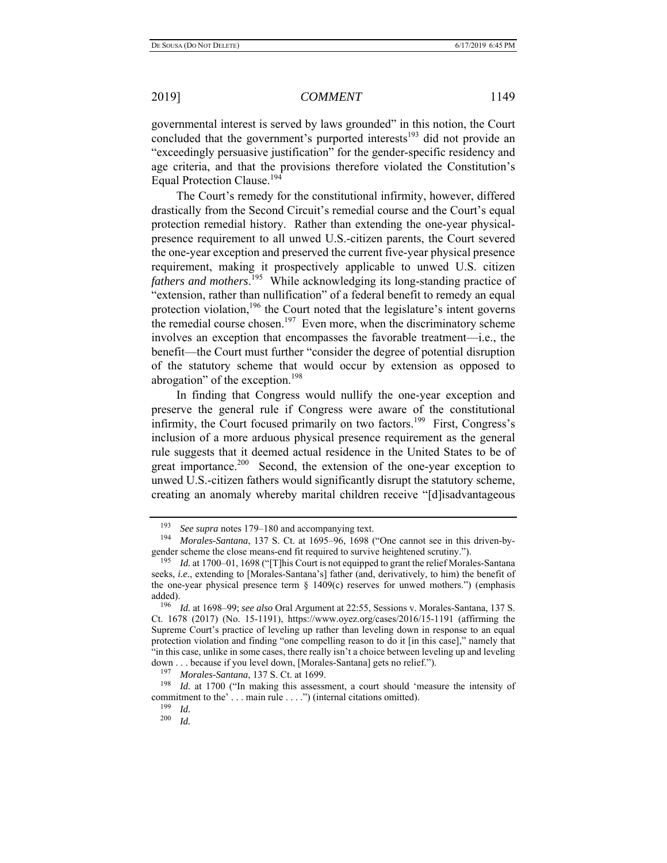governmental interest is served by laws grounded" in this notion, the Court concluded that the government's purported interests<sup>193</sup> did not provide an "exceedingly persuasive justification" for the gender-specific residency and age criteria, and that the provisions therefore violated the Constitution's Equal Protection Clause.<sup>194</sup>

The Court's remedy for the constitutional infirmity, however, differed drastically from the Second Circuit's remedial course and the Court's equal protection remedial history. Rather than extending the one-year physicalpresence requirement to all unwed U.S.-citizen parents, the Court severed the one-year exception and preserved the current five-year physical presence requirement, making it prospectively applicable to unwed U.S. citizen *fathers and mothers*. 195 While acknowledging its long-standing practice of "extension, rather than nullification" of a federal benefit to remedy an equal protection violation,  $196$  the Court noted that the legislature's intent governs the remedial course chosen.<sup>197</sup> Even more, when the discriminatory scheme involves an exception that encompasses the favorable treatment—i.e., the benefit—the Court must further "consider the degree of potential disruption of the statutory scheme that would occur by extension as opposed to abrogation" of the exception.<sup>198</sup>

In finding that Congress would nullify the one-year exception and preserve the general rule if Congress were aware of the constitutional infirmity, the Court focused primarily on two factors.<sup>199</sup> First, Congress's inclusion of a more arduous physical presence requirement as the general rule suggests that it deemed actual residence in the United States to be of great importance.<sup>200</sup> Second, the extension of the one-year exception to unwed U.S.-citizen fathers would significantly disrupt the statutory scheme, creating an anomaly whereby marital children receive "[d]isadvantageous

197 *Morales-Santana*, 137 S. Ct. at 1699.

*Id.* at 1700 ("In making this assessment, a court should 'measure the intensity of commitment to the' ... main rule ... .") (internal citations omitted).

<sup>193</sup> *See supra* notes 179–180 and accompanying text.

Morales-Santana, 137 S. Ct. at 1695–96, 1698 ("One cannot see in this driven-bygender scheme the close means-end fit required to survive heightened scrutiny.").

<sup>195</sup> *Id.* at 1700–01, 1698 ("[T]his Court is not equipped to grant the relief Morales-Santana seeks, *i.e.*, extending to [Morales-Santana's] father (and, derivatively, to him) the benefit of the one-year physical presence term  $\S$  1409(c) reserves for unwed mothers.") (emphasis added).<br> $\frac{196}{196}$ 

*Id.* at 1698–99; *see also* Oral Argument at 22:55, Sessions v. Morales-Santana, 137 S. Ct. 1678 (2017) (No. 15-1191), https://www.oyez.org/cases/2016/15-1191 (affirming the Supreme Court's practice of leveling up rather than leveling down in response to an equal protection violation and finding "one compelling reason to do it [in this case]," namely that "in this case, unlike in some cases, there really isn't a choice between leveling up and leveling down . . . because if you level down, [Morales-Santana] gets no relief.").

 $\frac{199}{200}$  *Id.* 

*Id.*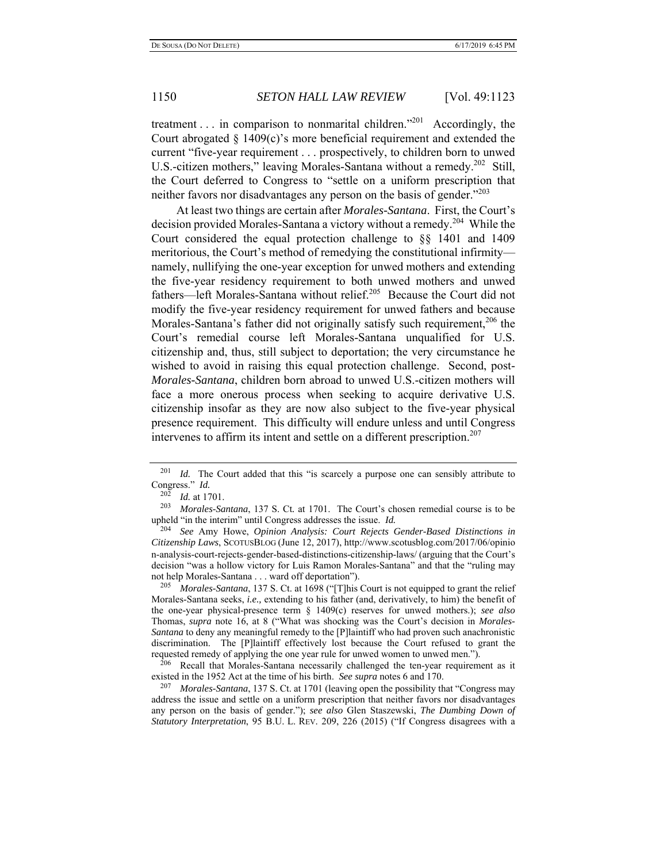treatment  $\ldots$  in comparison to nonmarital children."<sup>201</sup> Accordingly, the Court abrogated  $\S$  1409(c)'s more beneficial requirement and extended the current "five-year requirement . . . prospectively, to children born to unwed U.S.-citizen mothers," leaving Morales-Santana without a remedy.<sup>202</sup> Still, the Court deferred to Congress to "settle on a uniform prescription that neither favors nor disadvantages any person on the basis of gender."<sup>203</sup>

At least two things are certain after *Morales-Santana*. First, the Court's decision provided Morales-Santana a victory without a remedy.<sup>204</sup> While the Court considered the equal protection challenge to §§ 1401 and 1409 meritorious, the Court's method of remedying the constitutional infirmity namely, nullifying the one-year exception for unwed mothers and extending the five-year residency requirement to both unwed mothers and unwed fathers—left Morales-Santana without relief.<sup>205</sup> Because the Court did not modify the five-year residency requirement for unwed fathers and because Morales-Santana's father did not originally satisfy such requirement,  $206$  the Court's remedial course left Morales-Santana unqualified for U.S. citizenship and, thus, still subject to deportation; the very circumstance he wished to avoid in raising this equal protection challenge. Second, post-*Morales-Santana*, children born abroad to unwed U.S.-citizen mothers will face a more onerous process when seeking to acquire derivative U.S. citizenship insofar as they are now also subject to the five-year physical presence requirement. This difficulty will endure unless and until Congress intervenes to affirm its intent and settle on a different prescription.<sup>207</sup>

<sup>205</sup>*Morales-Santana*, 137 S. Ct. at 1698 ("[T]his Court is not equipped to grant the relief Morales-Santana seeks, *i.e.,* extending to his father (and, derivatively, to him) the benefit of the one-year physical-presence term § 1409(c) reserves for unwed mothers.); *see also*  Thomas, *supra* note 16, at 8 ("What was shocking was the Court's decision in *Morales-Santana* to deny any meaningful remedy to the [P]laintiff who had proven such anachronistic discrimination. The [P]laintiff effectively lost because the Court refused to grant the requested remedy of applying the one year rule for unwed women to unwed men.").<br><sup>206</sup> Pacell, that Moralas Santana necessarily challenged the ten-year requirem

Recall that Morales-Santana necessarily challenged the ten-year requirement as it existed in the 1952 Act at the time of his birth. *See supra* notes 6 and 170.

207 *Morales-Santana*, 137 S. Ct. at 1701 (leaving open the possibility that "Congress may address the issue and settle on a uniform prescription that neither favors nor disadvantages any person on the basis of gender."); *see also* Glen Staszewski, *The Dumbing Down of Statutory Interpretation*, 95 B.U. L. REV. 209, 226 (2015) ("If Congress disagrees with a

<sup>&</sup>lt;sup>201</sup> *Id.* The Court added that this "is scarcely a purpose one can sensibly attribute to Congress." *Id.*

<sup>202</sup> *Id.* at 1701.

<sup>203</sup> *Morales-Santana*, 137 S. Ct*.* at 1701.The Court's chosen remedial course is to be upheld "in the interim" until Congress addresses the issue. *Id.*

<sup>204</sup> *See* Amy Howe, *Opinion Analysis: Court Rejects Gender-Based Distinctions in Citizenship Laws*, SCOTUSBLOG (June 12, 2017), http://www.scotusblog.com/2017/06/opinio n-analysis-court-rejects-gender-based-distinctions-citizenship-laws/ (arguing that the Court's decision "was a hollow victory for Luis Ramon Morales-Santana" and that the "ruling may not help Morales-Santana . . . ward off deportation").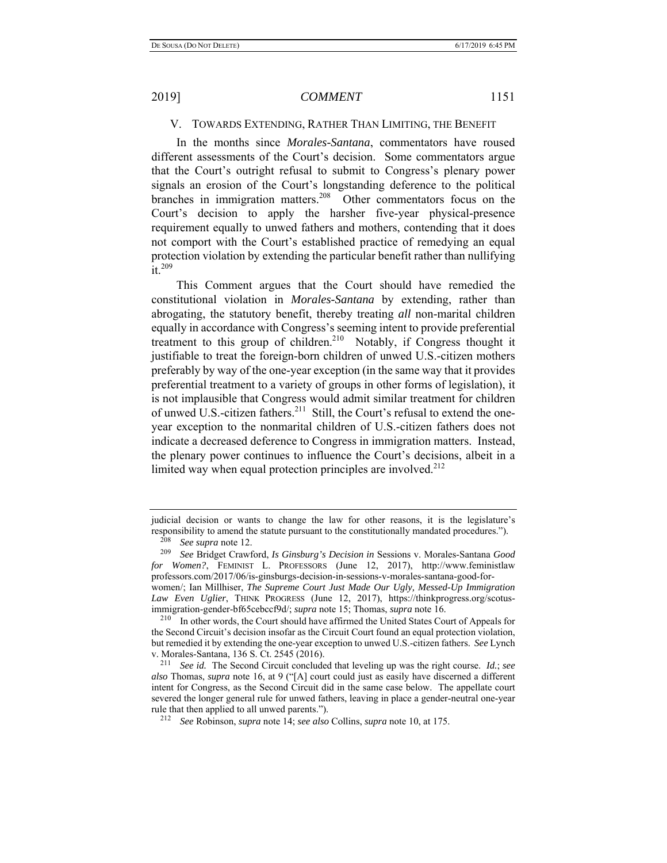### V. TOWARDS EXTENDING, RATHER THAN LIMITING, THE BENEFIT

In the months since *Morales-Santana*, commentators have roused different assessments of the Court's decision. Some commentators argue that the Court's outright refusal to submit to Congress's plenary power signals an erosion of the Court's longstanding deference to the political branches in immigration matters.<sup>208</sup> Other commentators focus on the Court's decision to apply the harsher five-year physical-presence requirement equally to unwed fathers and mothers, contending that it does not comport with the Court's established practice of remedying an equal protection violation by extending the particular benefit rather than nullifying  $\overline{\text{it}}$ . 209

This Comment argues that the Court should have remedied the constitutional violation in *Morales-Santana* by extending, rather than abrogating, the statutory benefit, thereby treating *all* non-marital children equally in accordance with Congress's seeming intent to provide preferential treatment to this group of children.<sup>210</sup> Notably, if Congress thought it justifiable to treat the foreign-born children of unwed U.S.-citizen mothers preferably by way of the one-year exception (in the same way that it provides preferential treatment to a variety of groups in other forms of legislation), it is not implausible that Congress would admit similar treatment for children of unwed U.S.-citizen fathers.<sup>211</sup> Still, the Court's refusal to extend the oneyear exception to the nonmarital children of U.S.-citizen fathers does not indicate a decreased deference to Congress in immigration matters. Instead, the plenary power continues to influence the Court's decisions, albeit in a limited way when equal protection principles are involved. $2^{12}$ 

judicial decision or wants to change the law for other reasons, it is the legislature's responsibility to amend the statute pursuant to the constitutionally mandated procedures.").

<sup>208</sup> *See supra* note 12.

<sup>209</sup> *See* Bridget Crawford, *Is Ginsburg's Decision in* Sessions v. Morales-Santana *Good for Women?*, FEMINIST L. PROFESSORS (June 12, 2017), http://www.feministlaw professors.com/2017/06/is-ginsburgs-decision-in-sessions-v-morales-santana-good-forwomen/; Ian Millhiser, *The Supreme Court Just Made Our Ugly, Messed-Up Immigration Law Even Uglier*, THINK PROGRESS (June 12, 2017), https://thinkprogress.org/scotusimmigration-gender-bf65cebccf9d/; *supra* note 15; Thomas, *supra* note 16.

<sup>&</sup>lt;sup>210</sup> In other words, the Court should have affirmed the United States Court of Appeals for the Second Circuit's decision insofar as the Circuit Court found an equal protection violation, but remedied it by extending the one-year exception to unwed U.S.-citizen fathers. *See* Lynch

<sup>&</sup>lt;sup>211</sup> See id. The Second Circuit concluded that leveling up was the right course. *Id.*; see *also* Thomas, *supra* note 16, at 9 ("[A] court could just as easily have discerned a different intent for Congress, as the Second Circuit did in the same case below. The appellate court severed the longer general rule for unwed fathers, leaving in place a gender-neutral one-year rule that then applied to all unwed parents.").

rule that then applied to all unwed parents."). 212 *See* Robinson, *supra* note 14; *see also* Collins, *supra* note 10, at 175.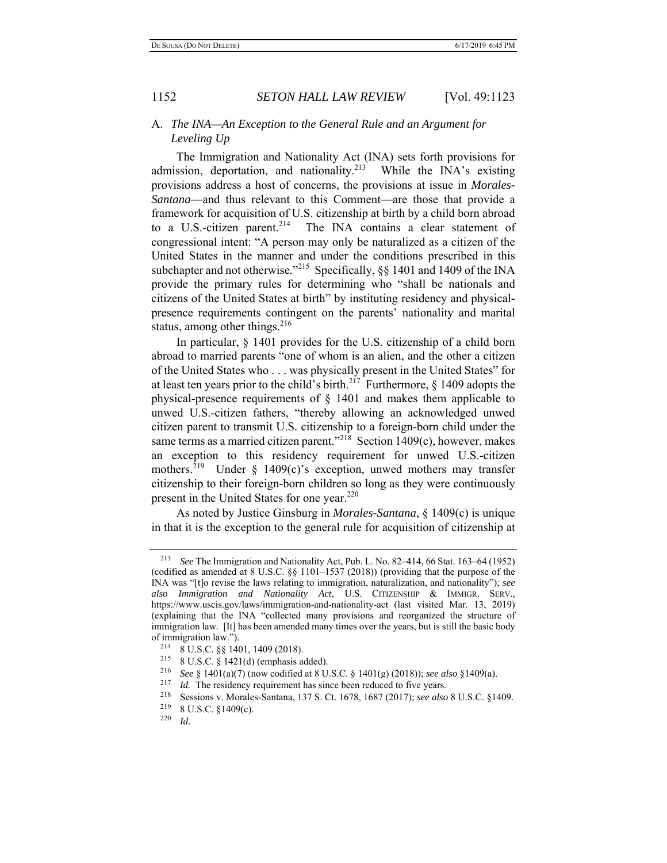### A. *The INA—An Exception to the General Rule and an Argument for Leveling Up*

The Immigration and Nationality Act (INA) sets forth provisions for admission, deportation, and nationality.<sup>213</sup> While the INA's existing provisions address a host of concerns, the provisions at issue in *Morales-Santana*—and thus relevant to this Comment—are those that provide a framework for acquisition of U.S. citizenship at birth by a child born abroad to a U.S.-citizen parent.<sup>214</sup> The INA contains a clear statement of congressional intent: "A person may only be naturalized as a citizen of the United States in the manner and under the conditions prescribed in this subchapter and not otherwise."<sup>215</sup> Specifically, §§ 1401 and 1409 of the INA provide the primary rules for determining who "shall be nationals and citizens of the United States at birth" by instituting residency and physicalpresence requirements contingent on the parents' nationality and marital status, among other things. $216$ 

In particular, § 1401 provides for the U.S. citizenship of a child born abroad to married parents "one of whom is an alien, and the other a citizen of the United States who . . . was physically present in the United States" for at least ten years prior to the child's birth.<sup>217</sup> Furthermore,  $\frac{1409}{1409}$  adopts the physical-presence requirements of § 1401 and makes them applicable to unwed U.S.-citizen fathers, "thereby allowing an acknowledged unwed citizen parent to transmit U.S. citizenship to a foreign-born child under the same terms as a married citizen parent."<sup>218</sup> Section 1409(c), however, makes an exception to this residency requirement for unwed U.S.-citizen mothers.<sup>219</sup> Under § 1409(c)'s exception, unwed mothers may transfer citizenship to their foreign-born children so long as they were continuously present in the United States for one year.<sup>220</sup>

As noted by Justice Ginsburg in *Morales-Santana*, § 1409(c) is unique in that it is the exception to the general rule for acquisition of citizenship at

<sup>213</sup> *See* The Immigration and Nationality Act, Pub. L. No. 82–414, 66 Stat. 163–64 (1952) (codified as amended at 8 U.S.C. §§ 1101–1537 (2018)) (providing that the purpose of the INA was "[t]o revise the laws relating to immigration, naturalization, and nationality"); *see also Immigration and Nationality Act*, U.S. CITIZENSHIP & IMMIGR. SERV., https://www.uscis.gov/laws/immigration-and-nationality-act (last visited Mar. 13, 2019) (explaining that the INA "collected many provisions and reorganized the structure of immigration law. [It] has been amended many times over the years, but is still the basic body of immigration law.").<br><sup>214</sup> 8 U.S.C. §§ 1401, 1409 (2018).

<sup>215 8</sup> U.S.C. § 1421(d) (emphasis added).

<sup>&</sup>lt;sup>216</sup> *See* § 1401(a)(7) (now codified at 8 U.S.C. § 1401(g) (2018)); *see also* § 1409(a).

<sup>2&</sup>lt;sup>17</sup>*Id.* The residency requirement has since been reduced to five years.<br><sup>218</sup> Sessions v. Morales-Santana, 137 S. Ct. 1678, 1687 (2017); *see also* 8 U.S.C. §1409.<br><sup>219</sup> 8 U.S.C. §1409(c)

<sup>&</sup>lt;sup>219</sup> 8 U.S.C. §1409(c).<br><sup>220</sup> Id

*Id.*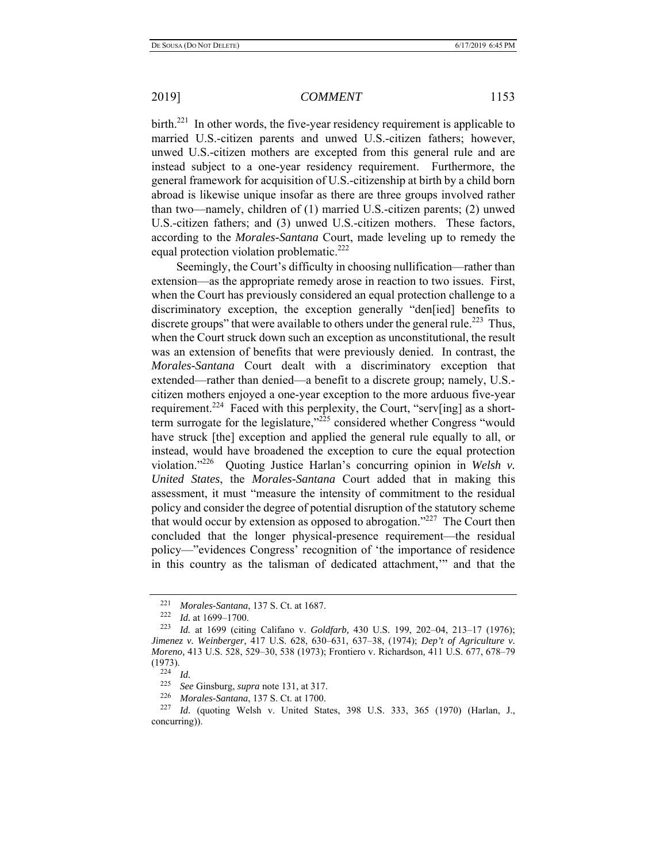birth.<sup>221</sup> In other words, the five-year residency requirement is applicable to married U.S.-citizen parents and unwed U.S.-citizen fathers; however, unwed U.S.-citizen mothers are excepted from this general rule and are instead subject to a one-year residency requirement. Furthermore, the general framework for acquisition of U.S.-citizenship at birth by a child born abroad is likewise unique insofar as there are three groups involved rather than two—namely, children of (1) married U.S.-citizen parents; (2) unwed U.S.-citizen fathers; and (3) unwed U.S.-citizen mothers. These factors, according to the *Morales-Santana* Court, made leveling up to remedy the equal protection violation problematic.<sup>222</sup>

Seemingly, the Court's difficulty in choosing nullification—rather than extension—as the appropriate remedy arose in reaction to two issues. First, when the Court has previously considered an equal protection challenge to a discriminatory exception, the exception generally "den[ied] benefits to discrete groups" that were available to others under the general rule.<sup>223</sup> Thus, when the Court struck down such an exception as unconstitutional, the result was an extension of benefits that were previously denied. In contrast, the *Morales-Santana* Court dealt with a discriminatory exception that extended—rather than denied—a benefit to a discrete group; namely, U.S. citizen mothers enjoyed a one-year exception to the more arduous five-year requirement.<sup>224</sup> Faced with this perplexity, the Court, "serv[ing] as a shortterm surrogate for the legislature," $2^{25}$  considered whether Congress "would have struck [the] exception and applied the general rule equally to all, or instead, would have broadened the exception to cure the equal protection violation."226 Quoting Justice Harlan's concurring opinion in *Welsh v. United States*, the *Morales-Santana* Court added that in making this assessment, it must "measure the intensity of commitment to the residual policy and consider the degree of potential disruption of the statutory scheme that would occur by extension as opposed to abrogation."<sup>227</sup> The Court then concluded that the longer physical-presence requirement—the residual policy—"evidences Congress' recognition of 'the importance of residence in this country as the talisman of dedicated attachment,'" and that the

<sup>221</sup> *Morales-Santana*, 137 S. Ct. at 1687. 222 *Id.* at 1699–1700.

<sup>223</sup> *Id.* at 1699 (citing Califano v. *Goldfarb,* 430 U.S. 199, 202–04, 213–17 (1976); *Jimenez v. Weinberger,* 417 U.S. 628, 630–631, 637–38, (1974); *Dep't of Agriculture v. Moreno,* 413 U.S. 528, 529–30, 538 (1973); Frontiero v. Richardson*,* 411 U.S. 677, 678–79  $(1973).$ <br><sup>224</sup> *Id.*<br><sup>225</sup> *Sec* 

<sup>225</sup> *See* Ginsburg, *supra* note 131, at 317.

<sup>226</sup> *Morales-Santana*, 137 S. Ct. at 1700.

<sup>&</sup>lt;sup>227</sup> *Id.* (quoting Welsh v. United States, 398 U.S. 333, 365 (1970) (Harlan, J., concurring)).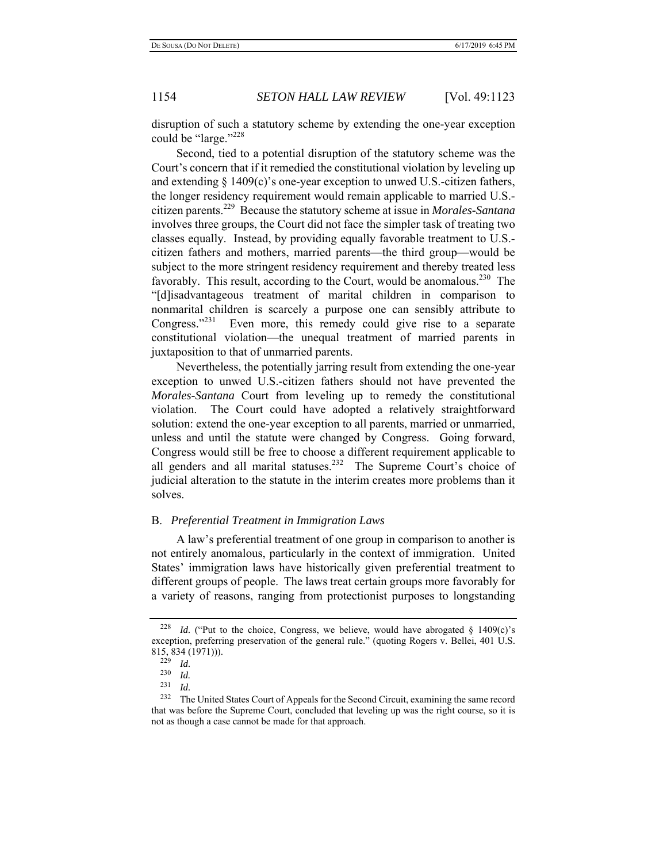disruption of such a statutory scheme by extending the one-year exception could be "large."<sup>228</sup>

Second, tied to a potential disruption of the statutory scheme was the Court's concern that if it remedied the constitutional violation by leveling up and extending § 1409(c)'s one-year exception to unwed U.S.-citizen fathers, the longer residency requirement would remain applicable to married U.S. citizen parents.229 Because the statutory scheme at issue in *Morales-Santana*  involves three groups, the Court did not face the simpler task of treating two classes equally. Instead, by providing equally favorable treatment to U.S. citizen fathers and mothers, married parents—the third group—would be subject to the more stringent residency requirement and thereby treated less favorably. This result, according to the Court, would be anomalous.<sup>230</sup> The "[d]isadvantageous treatment of marital children in comparison to nonmarital children is scarcely a purpose one can sensibly attribute to Congress."<sup>231</sup> Even more, this remedy could give rise to a separate constitutional violation—the unequal treatment of married parents in juxtaposition to that of unmarried parents.

Nevertheless, the potentially jarring result from extending the one-year exception to unwed U.S.-citizen fathers should not have prevented the *Morales-Santana* Court from leveling up to remedy the constitutional violation. The Court could have adopted a relatively straightforward solution: extend the one-year exception to all parents, married or unmarried, unless and until the statute were changed by Congress. Going forward, Congress would still be free to choose a different requirement applicable to all genders and all marital statuses.<sup>232</sup> The Supreme Court's choice of judicial alteration to the statute in the interim creates more problems than it solves.

### B. *Preferential Treatment in Immigration Laws*

A law's preferential treatment of one group in comparison to another is not entirely anomalous, particularly in the context of immigration. United States' immigration laws have historically given preferential treatment to different groups of people. The laws treat certain groups more favorably for a variety of reasons, ranging from protectionist purposes to longstanding

<sup>&</sup>lt;sup>228</sup> *Id.* ("Put to the choice, Congress, we believe, would have abrogated  $§$  1409(c)'s exception, preferring preservation of the general rule." (quoting Rogers v. Bellei, 401 U.S.  $815, 834 (1971))$ .<br>229 *M* 

 $\frac{229}{230}$  *Id.* 

*Id.* 

 $\frac{231}{232}$  *Id.* 

The United States Court of Appeals for the Second Circuit, examining the same record that was before the Supreme Court, concluded that leveling up was the right course, so it is not as though a case cannot be made for that approach.